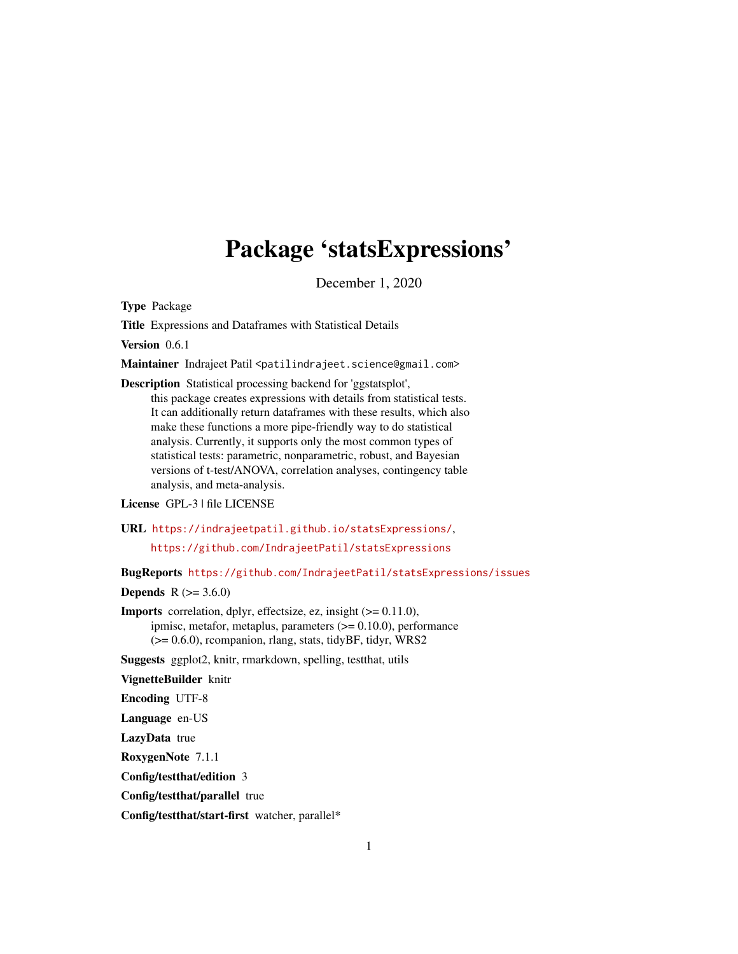# Package 'statsExpressions'

December 1, 2020

<span id="page-0-0"></span>Type Package

Title Expressions and Dataframes with Statistical Details

Version 0.6.1

Maintainer Indrajeet Patil <patilindrajeet.science@gmail.com>

Description Statistical processing backend for 'ggstatsplot', this package creates expressions with details from statistical tests. It can additionally return dataframes with these results, which also make these functions a more pipe-friendly way to do statistical analysis. Currently, it supports only the most common types of statistical tests: parametric, nonparametric, robust, and Bayesian versions of t-test/ANOVA, correlation analyses, contingency table analysis, and meta-analysis.

License GPL-3 | file LICENSE

URL <https://indrajeetpatil.github.io/statsExpressions/>,

<https://github.com/IndrajeetPatil/statsExpressions>

BugReports <https://github.com/IndrajeetPatil/statsExpressions/issues>

**Depends** R  $(>= 3.6.0)$ 

Imports correlation, dplyr, effectsize, ez, insight (>= 0.11.0), ipmisc, metafor, metaplus, parameters  $(>= 0.10.0)$ , performance (>= 0.6.0), rcompanion, rlang, stats, tidyBF, tidyr, WRS2

Suggests ggplot2, knitr, rmarkdown, spelling, testthat, utils

VignetteBuilder knitr

Encoding UTF-8

Language en-US

LazyData true

RoxygenNote 7.1.1

Config/testthat/edition 3

Config/testthat/parallel true

Config/testthat/start-first watcher, parallel\*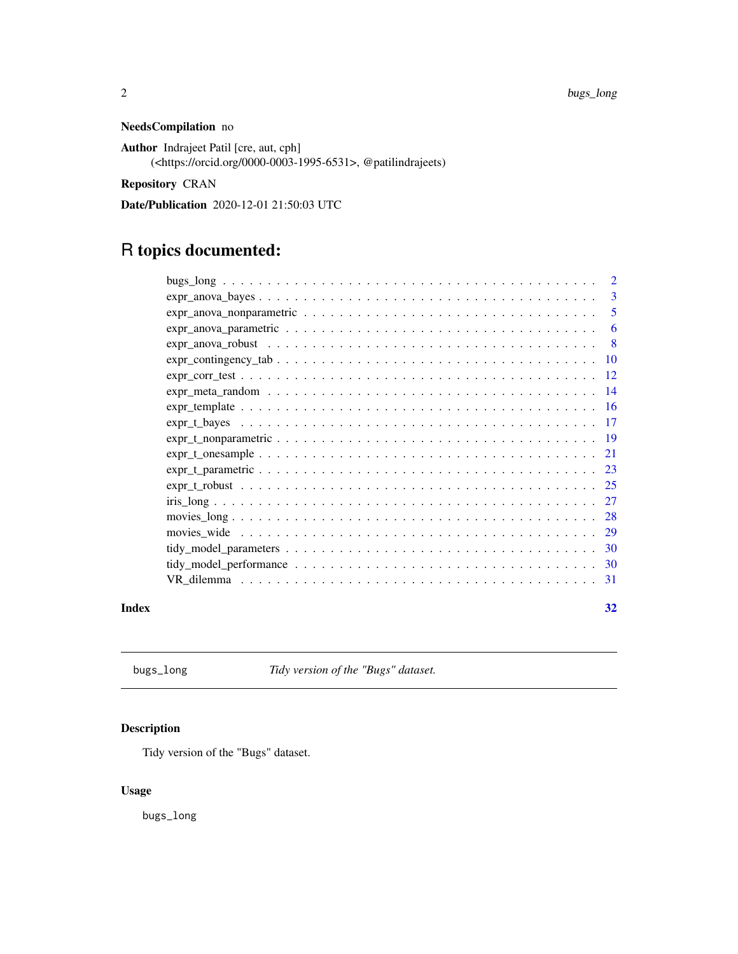# NeedsCompilation no

Author Indrajeet Patil [cre, aut, cph] (<https://orcid.org/0000-0003-1995-6531>, @patilindrajeets)

Repository CRAN

Date/Publication 2020-12-01 21:50:03 UTC

# R topics documented:

|       | 3              |
|-------|----------------|
|       | -5             |
|       | 6              |
|       | 8 <sup>8</sup> |
|       |                |
|       |                |
|       |                |
|       |                |
|       |                |
|       |                |
|       |                |
|       |                |
|       |                |
|       |                |
|       |                |
|       |                |
|       |                |
|       |                |
|       |                |
| Index | 32             |

bugs\_long *Tidy version of the "Bugs" dataset.*

# Description

Tidy version of the "Bugs" dataset.

# Usage

bugs\_long

<span id="page-1-0"></span>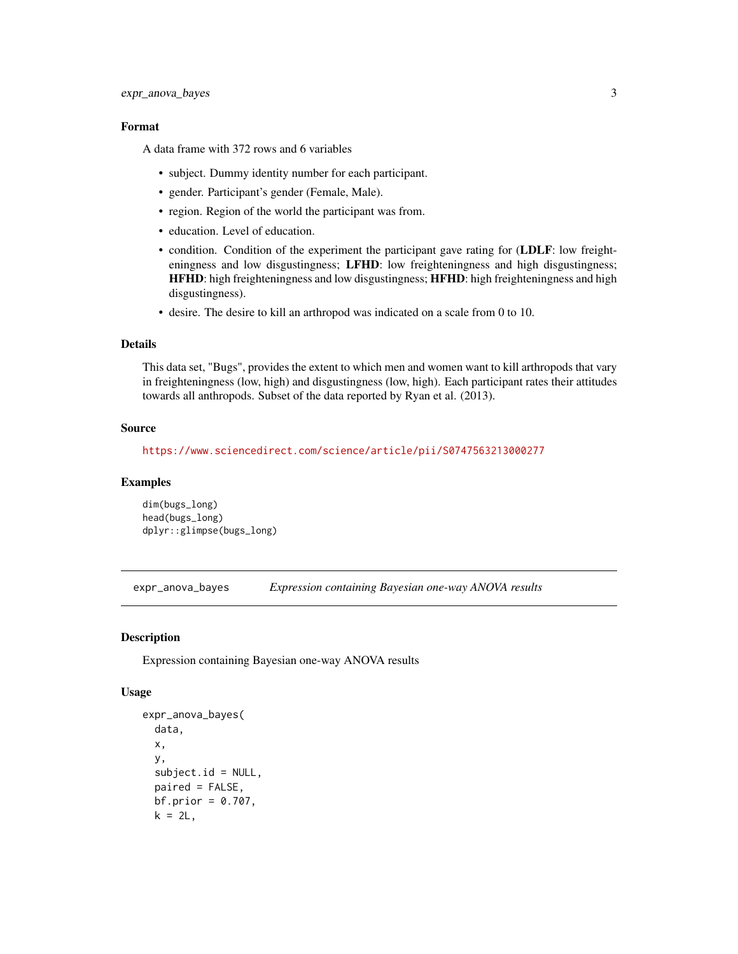# <span id="page-2-0"></span>expr\_anova\_bayes 3

# Format

A data frame with 372 rows and 6 variables

- subject. Dummy identity number for each participant.
- gender. Participant's gender (Female, Male).
- region. Region of the world the participant was from.
- education. Level of education.
- condition. Condition of the experiment the participant gave rating for (LDLF: low freighteningness and low disgustingness; LFHD: low freighteningness and high disgustingness; HFHD: high freighteningness and low disgustingness; HFHD: high freighteningness and high disgustingness).
- desire. The desire to kill an arthropod was indicated on a scale from 0 to 10.

# Details

This data set, "Bugs", provides the extent to which men and women want to kill arthropods that vary in freighteningness (low, high) and disgustingness (low, high). Each participant rates their attitudes towards all anthropods. Subset of the data reported by Ryan et al. (2013).

#### Source

<https://www.sciencedirect.com/science/article/pii/S0747563213000277>

# Examples

dim(bugs\_long) head(bugs\_long) dplyr::glimpse(bugs\_long)

expr\_anova\_bayes *Expression containing Bayesian one-way ANOVA results*

# **Description**

Expression containing Bayesian one-way ANOVA results

## Usage

```
expr_anova_bayes(
  data,
  x,
 y,
  subject.id = NULL,paired = FALSE,
 bf. prior = 0.707,k = 2L,
```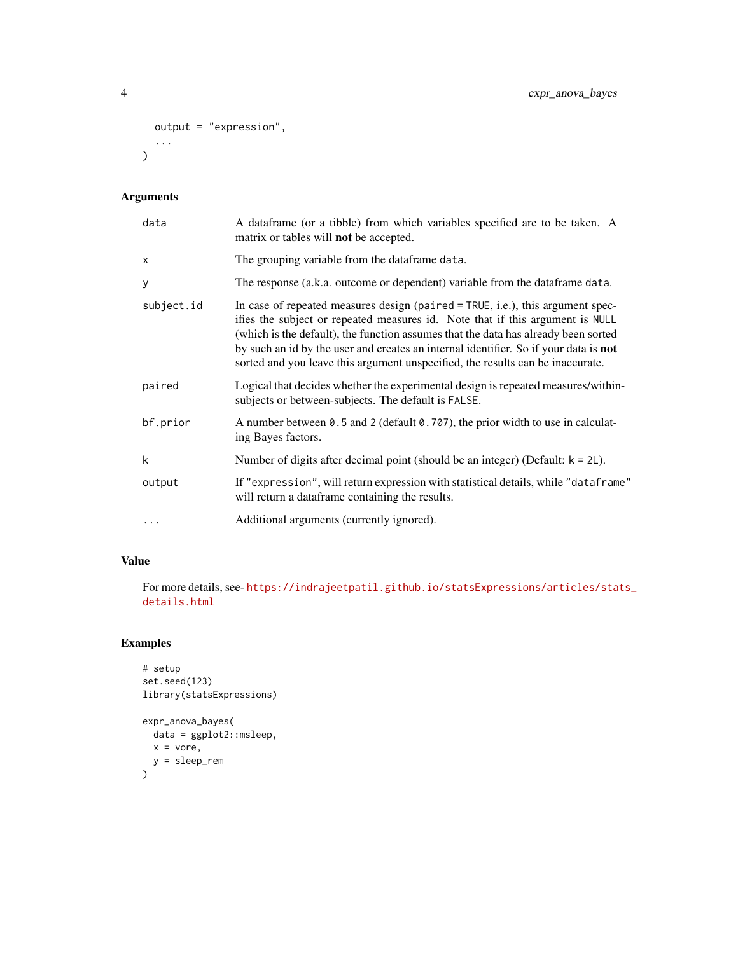```
output = "expression",
  ...
\mathcal{L}
```
# Arguments

| data       | A dataframe (or a tibble) from which variables specified are to be taken. A<br>matrix or tables will <b>not</b> be accepted.                                                                                                                                                                                                                                                                                                      |
|------------|-----------------------------------------------------------------------------------------------------------------------------------------------------------------------------------------------------------------------------------------------------------------------------------------------------------------------------------------------------------------------------------------------------------------------------------|
| X          | The grouping variable from the dataframe data.                                                                                                                                                                                                                                                                                                                                                                                    |
| У          | The response (a.k.a. outcome or dependent) variable from the data frame data.                                                                                                                                                                                                                                                                                                                                                     |
| subject.id | In case of repeated measures design (paired $=$ TRUE, i.e.), this argument spec-<br>ifies the subject or repeated measures id. Note that if this argument is NULL<br>(which is the default), the function assumes that the data has already been sorted<br>by such an id by the user and creates an internal identifier. So if your data is not<br>sorted and you leave this argument unspecified, the results can be inaccurate. |
| paired     | Logical that decides whether the experimental design is repeated measures/within-<br>subjects or between-subjects. The default is FALSE.                                                                                                                                                                                                                                                                                          |
| bf.prior   | A number between 0.5 and 2 (default 0.707), the prior width to use in calculat-<br>ing Bayes factors.                                                                                                                                                                                                                                                                                                                             |
| k          | Number of digits after decimal point (should be an integer) (Default: $k = 2L$ ).                                                                                                                                                                                                                                                                                                                                                 |
| output     | If "expression", will return expression with statistical details, while "dataframe"<br>will return a dataframe containing the results.                                                                                                                                                                                                                                                                                            |
| .          | Additional arguments (currently ignored).                                                                                                                                                                                                                                                                                                                                                                                         |

# Value

For more details, see- [https://indrajeetpatil.github.io/statsExpressions/articles/sta](https://indrajeetpatil.github.io/statsExpressions/articles/stats_details.html)ts\_ [details.html](https://indrajeetpatil.github.io/statsExpressions/articles/stats_details.html)

```
# setup
set.seed(123)
library(statsExpressions)
expr_anova_bayes(
 data = ggplot2::msleep,
  x = vore,
  y = sleep_rem
\mathcal{L}
```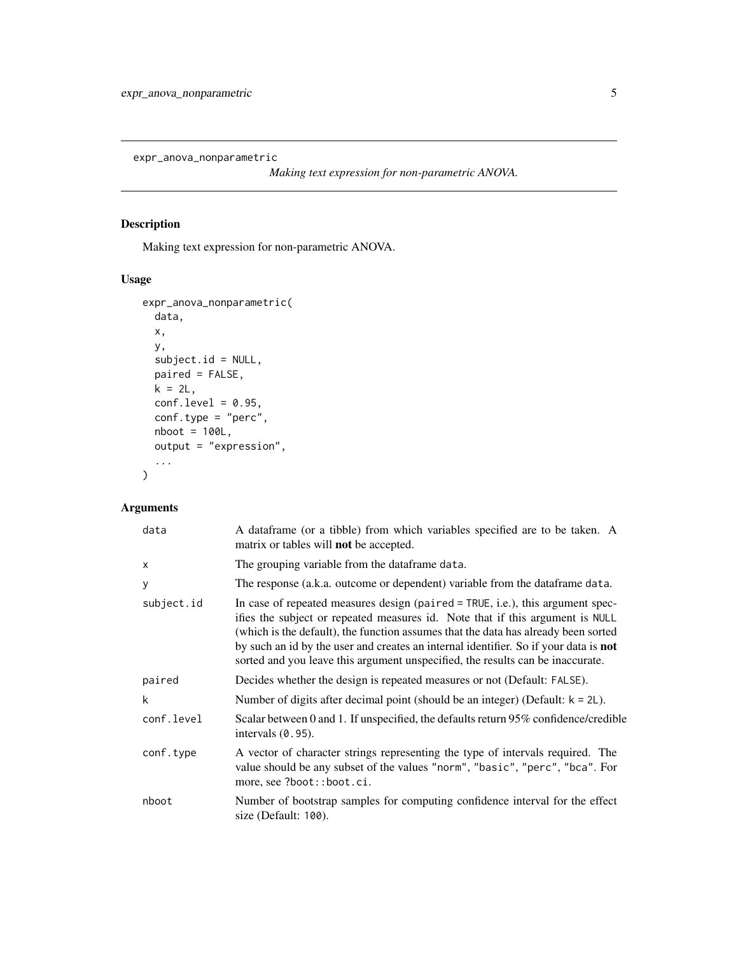<span id="page-4-0"></span>expr\_anova\_nonparametric

*Making text expression for non-parametric ANOVA.*

# Description

Making text expression for non-parametric ANOVA.

# Usage

```
expr_anova_nonparametric(
 data,
 x,
 y,
 subject.id = NULL,
 paired = FALSE,
 k = 2L,
 conf. level = 0.95,conf.type = "perc",
 nboot = 100L,output = "expression",
  ...
)
```

| data       | A dataframe (or a tibble) from which variables specified are to be taken. A<br>matrix or tables will <b>not</b> be accepted.                                                                                                                                                                                                                                                                                                             |
|------------|------------------------------------------------------------------------------------------------------------------------------------------------------------------------------------------------------------------------------------------------------------------------------------------------------------------------------------------------------------------------------------------------------------------------------------------|
| X          | The grouping variable from the dataframe data.                                                                                                                                                                                                                                                                                                                                                                                           |
| У          | The response (a.k.a. outcome or dependent) variable from the data frame data.                                                                                                                                                                                                                                                                                                                                                            |
| subject.id | In case of repeated measures design (paired $=$ TRUE, i.e.), this argument spec-<br>ifies the subject or repeated measures id. Note that if this argument is NULL<br>(which is the default), the function assumes that the data has already been sorted<br>by such an id by the user and creates an internal identifier. So if your data is <b>not</b><br>sorted and you leave this argument unspecified, the results can be inaccurate. |
| paired     | Decides whether the design is repeated measures or not (Default: FALSE).                                                                                                                                                                                                                                                                                                                                                                 |
| k          | Number of digits after decimal point (should be an integer) (Default: $k = 2L$ ).                                                                                                                                                                                                                                                                                                                                                        |
| conf.level | Scalar between 0 and 1. If unspecified, the defaults return 95% confidence/credible<br>intervals $(0.95)$ .                                                                                                                                                                                                                                                                                                                              |
| conf.type  | A vector of character strings representing the type of intervals required. The<br>value should be any subset of the values "norm", "basic", "perc", "bca". For<br>more, see ?boot::boot.ci.                                                                                                                                                                                                                                              |
| nboot      | Number of bootstrap samples for computing confidence interval for the effect<br>size (Default: 100).                                                                                                                                                                                                                                                                                                                                     |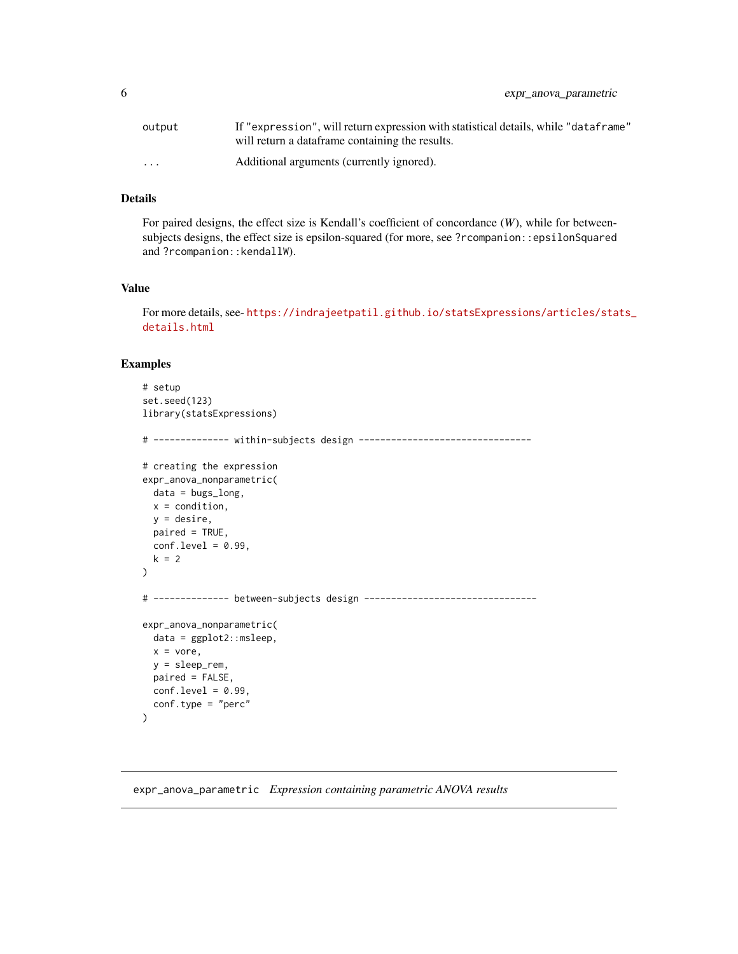<span id="page-5-0"></span>

| output                  | If "expression", will return expression with statistical details, while "dataframe" |
|-------------------------|-------------------------------------------------------------------------------------|
|                         | will return a dataframe containing the results.                                     |
| $\cdot$ $\cdot$ $\cdot$ | Additional arguments (currently ignored).                                           |

#### Details

For paired designs, the effect size is Kendall's coefficient of concordance (*W*), while for betweensubjects designs, the effect size is epsilon-squared (for more, see ?rcompanion::epsilonSquared and ?rcompanion::kendallW).

#### Value

For more details, see- [https://indrajeetpatil.github.io/statsExpressions/articles/sta](https://indrajeetpatil.github.io/statsExpressions/articles/stats_details.html)ts\_ [details.html](https://indrajeetpatil.github.io/statsExpressions/articles/stats_details.html)

# Examples

```
# setup
set.seed(123)
library(statsExpressions)
# -------------- within-subjects design --------------------------------
# creating the expression
expr_anova_nonparametric(
 data = bugs_long,
 x = condition,
 y = desire,
 paired = TRUE,
 conf. level = 0.99,k = 2)
# -------------- between-subjects design --------------------------------
expr_anova_nonparametric(
 data = ggplot2::msleep,
 x = vore,
 y = sleep_rem,
 paired = FALSE,
 conf.level = 0.99,
 conf.type = "perc"
\mathcal{L}
```
expr\_anova\_parametric *Expression containing parametric ANOVA results*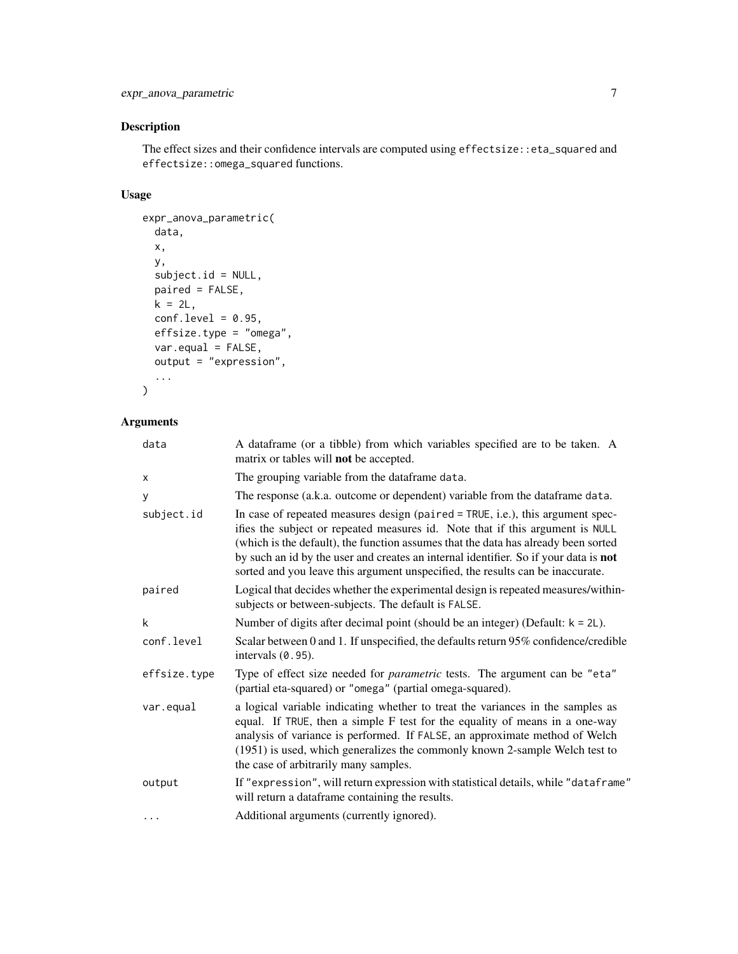The effect sizes and their confidence intervals are computed using effectsize::eta\_squared and effectsize::omega\_squared functions.

# Usage

```
expr_anova_parametric(
 data,
 x,
 y,
 subject.id = NULL,
 paired = FALSE,
 k = 2L,
 conf. level = 0.95,effsize.type = "omega",
 var.equal = FALSE,
 output = "expression",
  ...
\mathcal{L}
```

| data         | A dataframe (or a tibble) from which variables specified are to be taken. A<br>matrix or tables will <b>not</b> be accepted.                                                                                                                                                                                                                                                                                                    |
|--------------|---------------------------------------------------------------------------------------------------------------------------------------------------------------------------------------------------------------------------------------------------------------------------------------------------------------------------------------------------------------------------------------------------------------------------------|
| X            | The grouping variable from the dataframe data.                                                                                                                                                                                                                                                                                                                                                                                  |
| У            | The response (a.k.a. outcome or dependent) variable from the data frame data.                                                                                                                                                                                                                                                                                                                                                   |
| subject.id   | In case of repeated measures design (paired = TRUE, i.e.), this argument spec-<br>ifies the subject or repeated measures id. Note that if this argument is NULL<br>(which is the default), the function assumes that the data has already been sorted<br>by such an id by the user and creates an internal identifier. So if your data is not<br>sorted and you leave this argument unspecified, the results can be inaccurate. |
| paired       | Logical that decides whether the experimental design is repeated measures/within-<br>subjects or between-subjects. The default is FALSE.                                                                                                                                                                                                                                                                                        |
| k            | Number of digits after decimal point (should be an integer) (Default: $k = 2L$ ).                                                                                                                                                                                                                                                                                                                                               |
| conf.level   | Scalar between 0 and 1. If unspecified, the defaults return 95% confidence/credible<br>intervals $(0.95)$ .                                                                                                                                                                                                                                                                                                                     |
| effsize.type | Type of effect size needed for <i>parametric</i> tests. The argument can be "eta"<br>(partial eta-squared) or "omega" (partial omega-squared).                                                                                                                                                                                                                                                                                  |
| var.equal    | a logical variable indicating whether to treat the variances in the samples as<br>equal. If TRUE, then a simple F test for the equality of means in a one-way<br>analysis of variance is performed. If FALSE, an approximate method of Welch<br>(1951) is used, which generalizes the commonly known 2-sample Welch test to<br>the case of arbitrarily many samples.                                                            |
| output       | If "expression", will return expression with statistical details, while "dataframe"<br>will return a dataframe containing the results.                                                                                                                                                                                                                                                                                          |
| $\cdot$      | Additional arguments (currently ignored).                                                                                                                                                                                                                                                                                                                                                                                       |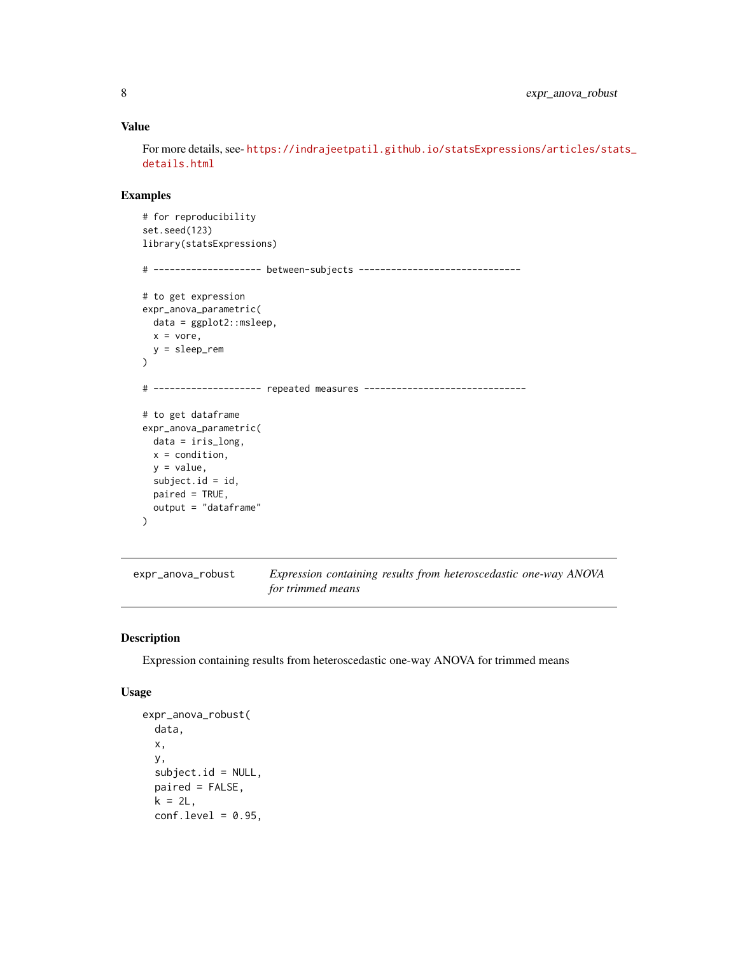# <span id="page-7-0"></span>Value

For more details, see- [https://indrajeetpatil.github.io/statsExpressions/articles/sta](https://indrajeetpatil.github.io/statsExpressions/articles/stats_details.html)ts\_ [details.html](https://indrajeetpatil.github.io/statsExpressions/articles/stats_details.html)

# Examples

```
# for reproducibility
set.seed(123)
library(statsExpressions)
# -------------------- between-subjects ------------------------------
# to get expression
expr_anova_parametric(
  data = ggplot2::msleep,
  x = vore,
  y = sleep_rem
)
# -------------------- repeated measures ------------------------------
# to get dataframe
expr_anova_parametric(
  data = iris_long,
 x = condition,
  y = value,
  subject.id = id,
  paired = TRUE,
  output = "dataframe"
)
```
expr\_anova\_robust *Expression containing results from heteroscedastic one-way ANOVA for trimmed means*

#### Description

Expression containing results from heteroscedastic one-way ANOVA for trimmed means

## Usage

```
expr_anova_robust(
  data,
  x,
 y,
  subject.id = NULL,paired = FALSE,
 k = 2L,
  conf. level = 0.95,
```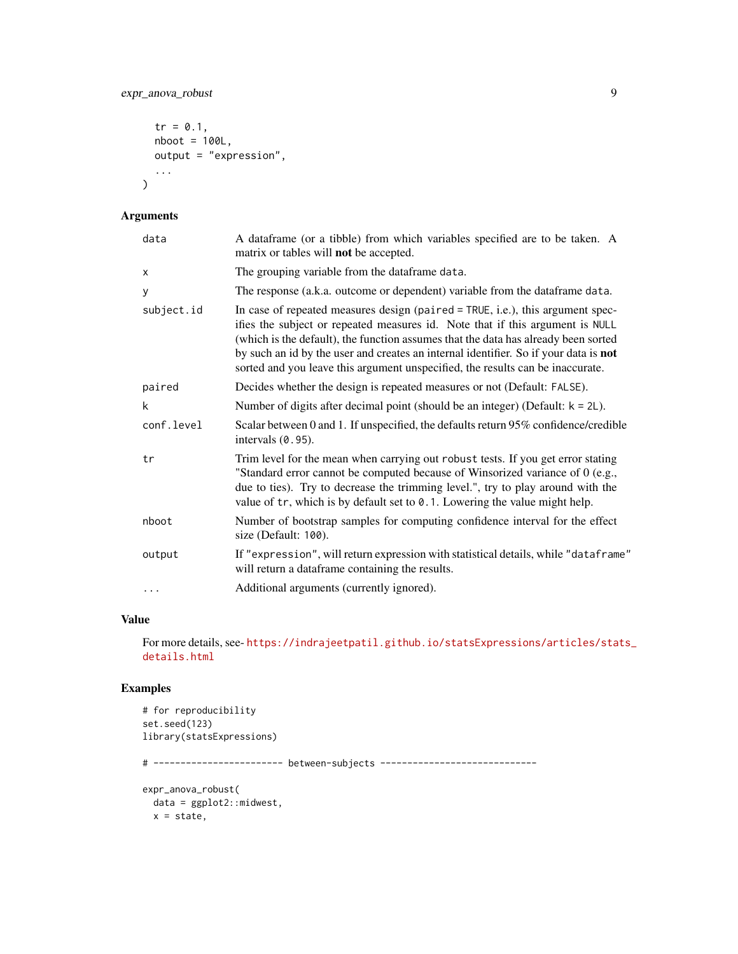expr\_anova\_robust 9

```
tr = 0.1,
nboot = 100L,output = "expression",
...
```
# Arguments

 $\mathcal{L}$ 

| data       | A dataframe (or a tibble) from which variables specified are to be taken. A<br>matrix or tables will <b>not</b> be accepted.                                                                                                                                                                                                                                                                                                           |
|------------|----------------------------------------------------------------------------------------------------------------------------------------------------------------------------------------------------------------------------------------------------------------------------------------------------------------------------------------------------------------------------------------------------------------------------------------|
| X          | The grouping variable from the dataframe data.                                                                                                                                                                                                                                                                                                                                                                                         |
| у          | The response (a.k.a. outcome or dependent) variable from the data frame data.                                                                                                                                                                                                                                                                                                                                                          |
| subject.id | In case of repeated measures design (paired = TRUE, i.e.), this argument spec-<br>ifies the subject or repeated measures id. Note that if this argument is NULL<br>(which is the default), the function assumes that the data has already been sorted<br>by such an id by the user and creates an internal identifier. So if your data is <b>not</b><br>sorted and you leave this argument unspecified, the results can be inaccurate. |
| paired     | Decides whether the design is repeated measures or not (Default: FALSE).                                                                                                                                                                                                                                                                                                                                                               |
| k          | Number of digits after decimal point (should be an integer) (Default: $k = 2L$ ).                                                                                                                                                                                                                                                                                                                                                      |
| conf.level | Scalar between 0 and 1. If unspecified, the defaults return 95% confidence/credible<br>intervals $(0.95)$ .                                                                                                                                                                                                                                                                                                                            |
| tr         | Trim level for the mean when carrying out robust tests. If you get error stating<br>"Standard error cannot be computed because of Winsorized variance of 0 (e.g.,<br>due to ties). Try to decrease the trimming level.", try to play around with the<br>value of tr, which is by default set to 0.1. Lowering the value might help.                                                                                                    |
| nboot      | Number of bootstrap samples for computing confidence interval for the effect<br>size (Default: 100).                                                                                                                                                                                                                                                                                                                                   |
| output     | If "expression", will return expression with statistical details, while "dataframe"<br>will return a dataframe containing the results.                                                                                                                                                                                                                                                                                                 |
| $\cdots$   | Additional arguments (currently ignored).                                                                                                                                                                                                                                                                                                                                                                                              |
|            |                                                                                                                                                                                                                                                                                                                                                                                                                                        |

# Value

For more details, see- [https://indrajeetpatil.github.io/statsExpressions/articles/sta](https://indrajeetpatil.github.io/statsExpressions/articles/stats_details.html)ts\_ [details.html](https://indrajeetpatil.github.io/statsExpressions/articles/stats_details.html)

```
# for reproducibility
set.seed(123)
library(statsExpressions)
# ------------------------ between-subjects -----------------------------
expr_anova_robust(
 data = ggplot2::midwest,
 x = state,
```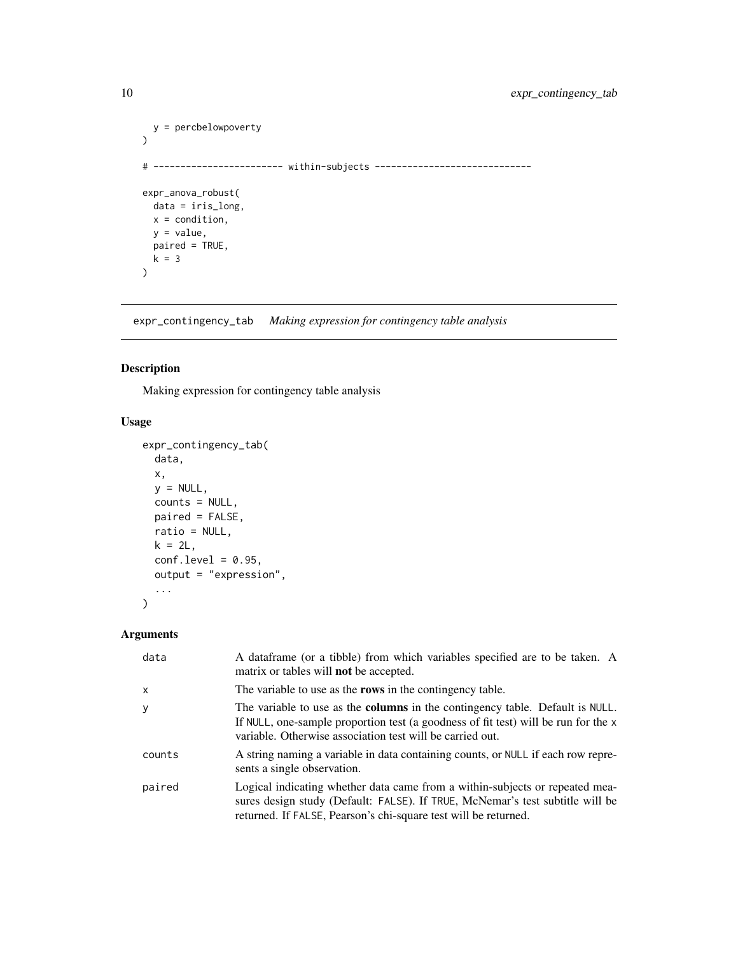```
y = percbelowpoverty
\lambda# ------------------------ within-subjects -----------------------------
expr_anova_robust(
 data = iris_long,
 x = condition,
 y = value,
 paired = TRUE,
  k = 3
\overline{\phantom{a}}
```
expr\_contingency\_tab *Making expression for contingency table analysis*

# Description

Making expression for contingency table analysis

# Usage

```
expr_contingency_tab(
 data,
 x,
 y = NULL,counts = NULL,
 paired = FALSE,
 ratio = NULL,
 k = 2L,
 conf. level = 0.95,
 output = "expression",
  ...
)
```

| data         | A dataframe (or a tibble) from which variables specified are to be taken. A<br>matrix or tables will <b>not</b> be accepted.                                                                                                            |
|--------------|-----------------------------------------------------------------------------------------------------------------------------------------------------------------------------------------------------------------------------------------|
| $\mathsf{x}$ | The variable to use as the <b>rows</b> in the contingency table.                                                                                                                                                                        |
| y            | The variable to use as the <b>columns</b> in the contingency table. Default is NULL.<br>If NULL, one-sample proportion test (a goodness of fit test) will be run for the x<br>variable. Otherwise association test will be carried out. |
| counts       | A string naming a variable in data containing counts, or NULL if each row repre-<br>sents a single observation.                                                                                                                         |
| paired       | Logical indicating whether data came from a within-subjects or repeated mea-<br>sures design study (Default: FALSE). If TRUE, McNemar's test subtitle will be<br>returned. If FALSE, Pearson's chi-square test will be returned.        |

<span id="page-9-0"></span>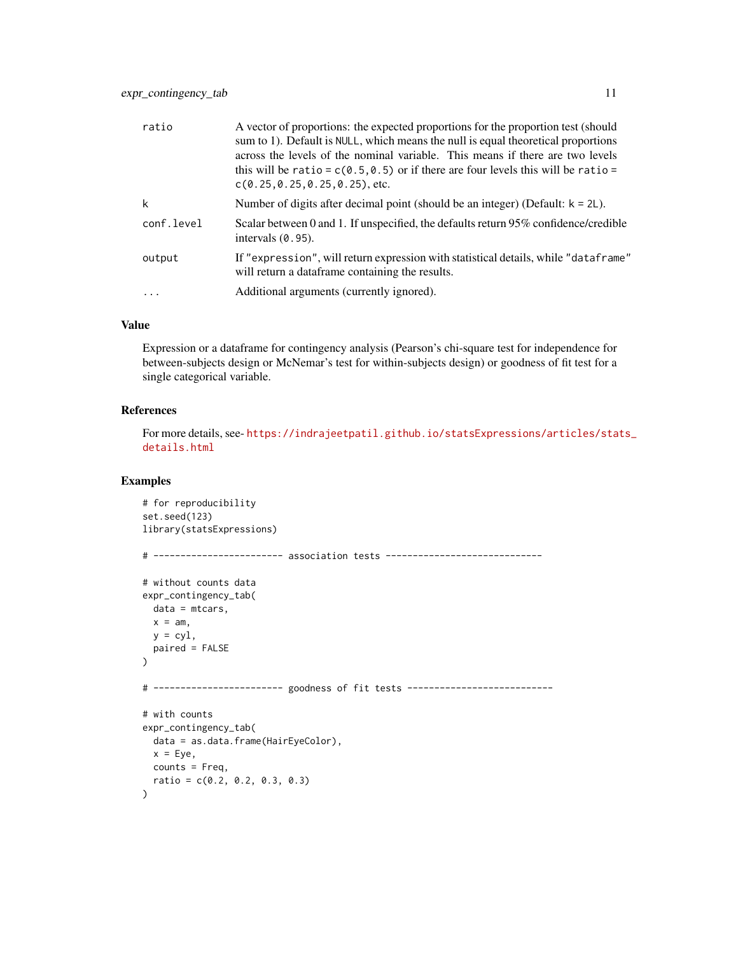| ratio      | A vector of proportions: the expected proportions for the proportion test (should<br>sum to 1). Default is NULL, which means the null is equal theoretical proportions<br>across the levels of the nominal variable. This means if there are two levels<br>this will be ratio = $c(0.5, 0.5)$ or if there are four levels this will be ratio =<br>$c(0.25, 0.25, 0.25, 0.25)$ , etc. |
|------------|--------------------------------------------------------------------------------------------------------------------------------------------------------------------------------------------------------------------------------------------------------------------------------------------------------------------------------------------------------------------------------------|
| k          | Number of digits after decimal point (should be an integer) (Default: $k = 2L$ ).                                                                                                                                                                                                                                                                                                    |
| conf.level | Scalar between 0 and 1. If unspecified, the defaults return 95% confidence/credible<br>intervals $(0.95)$ .                                                                                                                                                                                                                                                                          |
| output     | If "expression", will return expression with statistical details, while "dataframe"<br>will return a dataframe containing the results.                                                                                                                                                                                                                                               |
| .          | Additional arguments (currently ignored).                                                                                                                                                                                                                                                                                                                                            |

# Value

Expression or a dataframe for contingency analysis (Pearson's chi-square test for independence for between-subjects design or McNemar's test for within-subjects design) or goodness of fit test for a single categorical variable.

# References

For more details, see- [https://indrajeetpatil.github.io/statsExpressions/articles/sta](https://indrajeetpatil.github.io/statsExpressions/articles/stats_details.html)ts\_ [details.html](https://indrajeetpatil.github.io/statsExpressions/articles/stats_details.html)

```
# for reproducibility
set.seed(123)
library(statsExpressions)
# ------------------------ association tests -----------------------------
# without counts data
expr_contingency_tab(
 data = mtcars,
 x = am,y = cy1,
  paired = FALSE
\mathcal{E}# ------------------------ goodness of fit tests ---------------------------
# with counts
expr_contingency_tab(
 data = as.data.frame(HairEyeColor),
 x = Eye,
 counts = Freq,
  ratio = c(0.2, 0.2, 0.3, 0.3)
\mathcal{L}
```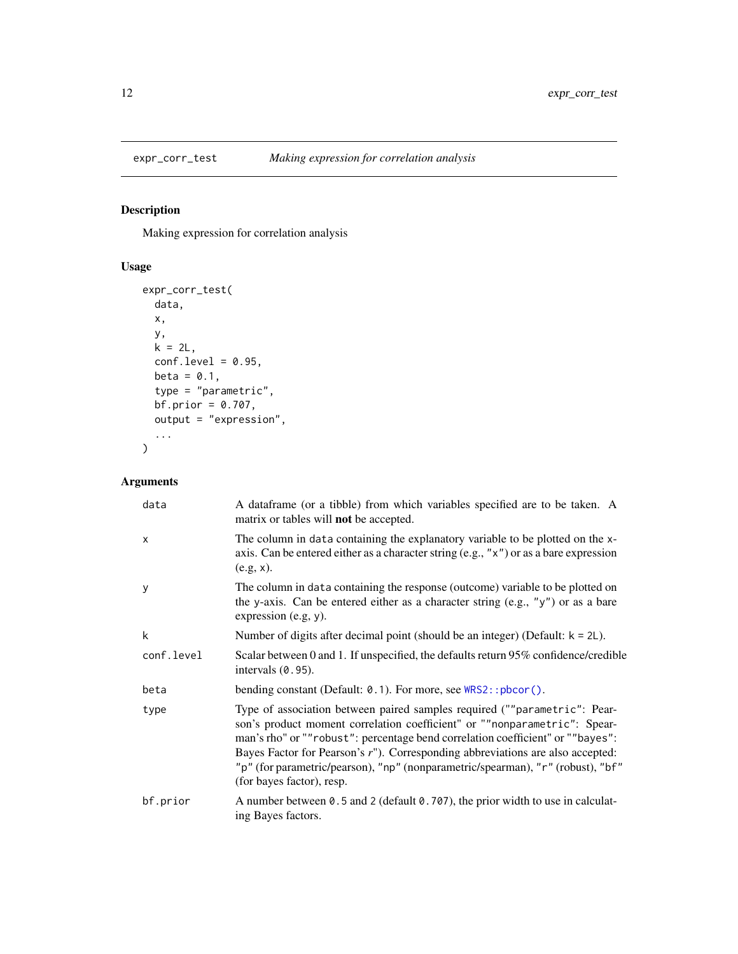<span id="page-11-0"></span>

Making expression for correlation analysis

# Usage

```
expr_corr_test(
 data,
 x,
 y,
 k = 2L,
 conf.level = 0.95,beta = 0.1,
 type = "parametric",
 bf.prior = 0.707,
 output = "expression",...
)
```

| data         | A data frame (or a tibble) from which variables specified are to be taken. A<br>matrix or tables will <b>not</b> be accepted.                                                                                                                                                                                                                                                                                                              |
|--------------|--------------------------------------------------------------------------------------------------------------------------------------------------------------------------------------------------------------------------------------------------------------------------------------------------------------------------------------------------------------------------------------------------------------------------------------------|
| $\mathsf{x}$ | The column in data containing the explanatory variable to be plotted on the x-<br>axis. Can be entered either as a character string (e.g., "x") or as a bare expression<br>$(e.g, x)$ .                                                                                                                                                                                                                                                    |
| У            | The column in data containing the response (outcome) variable to be plotted on<br>the y-axis. Can be entered either as a character string (e.g., " $y$ ") or as a bare<br>expression (e.g, y).                                                                                                                                                                                                                                             |
| k            | Number of digits after decimal point (should be an integer) (Default: $k = 2L$ ).                                                                                                                                                                                                                                                                                                                                                          |
| conf.level   | Scalar between 0 and 1. If unspecified, the defaults return 95% confidence/credible<br>intervals $(0.95)$ .                                                                                                                                                                                                                                                                                                                                |
| beta         | bending constant (Default: 0.1). For more, see WRS2::pbcor().                                                                                                                                                                                                                                                                                                                                                                              |
| type         | Type of association between paired samples required (""parametric": Pear-<br>son's product moment correlation coefficient" or ""nonparametric": Spear-<br>man's rho" or ""robust": percentage bend correlation coefficient" or ""bayes":<br>Bayes Factor for Pearson's r"). Corresponding abbreviations are also accepted:<br>"p" (for parametric/pearson), "np" (nonparametric/spearman), "r" (robust), "bf"<br>(for bayes factor), resp. |
| bf.prior     | A number between 0.5 and 2 (default 0.707), the prior width to use in calculat-<br>ing Bayes factors.                                                                                                                                                                                                                                                                                                                                      |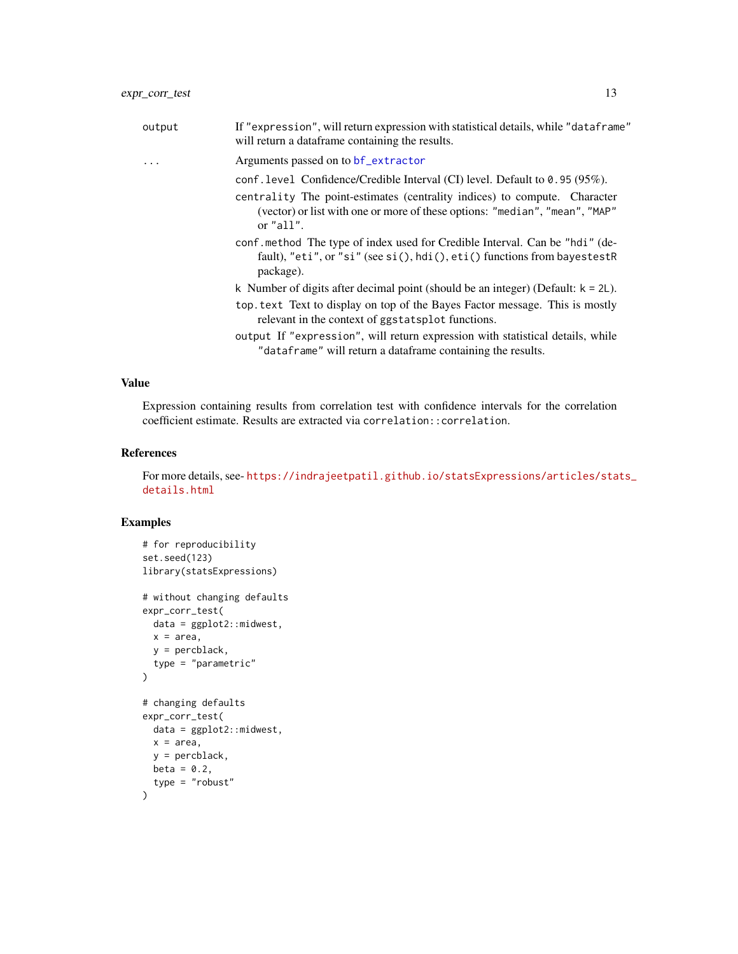<span id="page-12-0"></span>

| output | If "expression", will return expression with statistical details, while "dataframe"<br>will return a dataframe containing the results.                                                                                                                |
|--------|-------------------------------------------------------------------------------------------------------------------------------------------------------------------------------------------------------------------------------------------------------|
| .      | Arguments passed on to bf_extractor                                                                                                                                                                                                                   |
|        | conf.level Confidence/Credible Interval (CI) level. Default to 0.95 (95%).<br>centrality The point-estimates (centrality indices) to compute. Character<br>(vector) or list with one or more of these options: "median", "mean", "MAP"<br>or $"all".$ |
|        | conf.method The type of index used for Credible Interval. Can be "hdi" (de-<br>fault), "eti", or "si" (see si(), hdi(), eti() functions from bayestestR<br>package).                                                                                  |
|        | k Number of digits after decimal point (should be an integer) (Default: $k = 2L$ ).                                                                                                                                                                   |
|        | top. text Text to display on top of the Bayes Factor message. This is mostly<br>relevant in the context of ggstatsplot functions.                                                                                                                     |
|        | output If "expression", will return expression with statistical details, while<br>"dataframe" will return a dataframe containing the results.                                                                                                         |

#### Value

Expression containing results from correlation test with confidence intervals for the correlation coefficient estimate. Results are extracted via correlation::correlation.

#### References

For more details, see- [https://indrajeetpatil.github.io/statsExpressions/articles/sta](https://indrajeetpatil.github.io/statsExpressions/articles/stats_details.html)ts\_ [details.html](https://indrajeetpatil.github.io/statsExpressions/articles/stats_details.html)

```
# for reproducibility
set.seed(123)
library(statsExpressions)
# without changing defaults
expr_corr_test(
  data = ggplot2::midwest,
 x = area,
 y = percblack,
  type = "parametric"
)
# changing defaults
expr_corr_test(
 data = ggplot2::midwest,
 x = area,
  y = percblack,
  beta = 0.2,
  type = "robust"
\mathcal{L}
```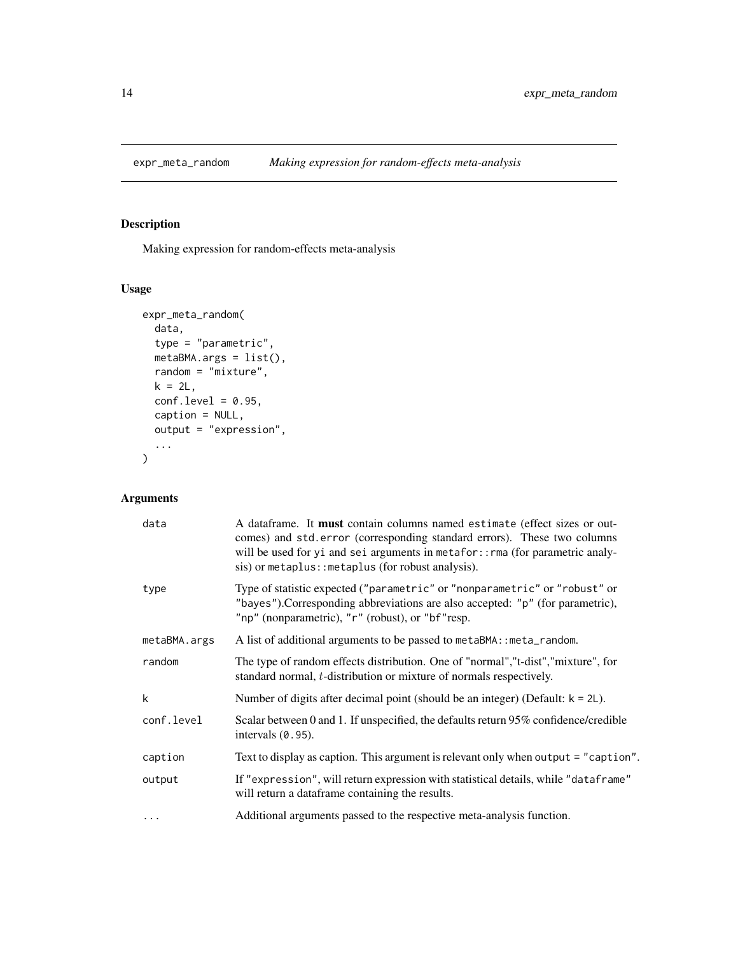<span id="page-13-0"></span>

Making expression for random-effects meta-analysis

# Usage

```
expr_meta_random(
 data,
  type = "parametric",
 metaBMA.args = list(),
 random = "mixture",
 k = 2L,
 conf.level = 0.95,caption = NULL,
 output = "expression",
  ...
)
```

| data         | A dataframe. It <b>must</b> contain columns named estimate (effect sizes or out-<br>comes) and std.error (corresponding standard errors). These two columns<br>will be used for yi and sei arguments in metafor:: rma (for parametric analy-<br>sis) or metaplus:: metaplus (for robust analysis). |
|--------------|----------------------------------------------------------------------------------------------------------------------------------------------------------------------------------------------------------------------------------------------------------------------------------------------------|
| type         | Type of statistic expected ("parametric" or "nonparametric" or "robust" or<br>"bayes"). Corresponding abbreviations are also accepted: "p" (for parametric),<br>"np" (nonparametric), "r" (robust), or "bf"resp.                                                                                   |
| metaBMA.args | A list of additional arguments to be passed to metaBMA:: meta_random.                                                                                                                                                                                                                              |
| random       | The type of random effects distribution. One of "normal", "t-dist", "mixture", for<br>standard normal, <i>t</i> -distribution or mixture of normals respectively.                                                                                                                                  |
| k            | Number of digits after decimal point (should be an integer) (Default: $k = 2L$ ).                                                                                                                                                                                                                  |
| conf.level   | Scalar between 0 and 1. If unspecified, the defaults return 95% confidence/credible<br>intervals $(0.95)$ .                                                                                                                                                                                        |
| caption      | Text to display as caption. This argument is relevant only when output = "caption".                                                                                                                                                                                                                |
| output       | If "expression", will return expression with statistical details, while "dataframe"<br>will return a dataframe containing the results.                                                                                                                                                             |
| $\cdots$     | Additional arguments passed to the respective meta-analysis function.                                                                                                                                                                                                                              |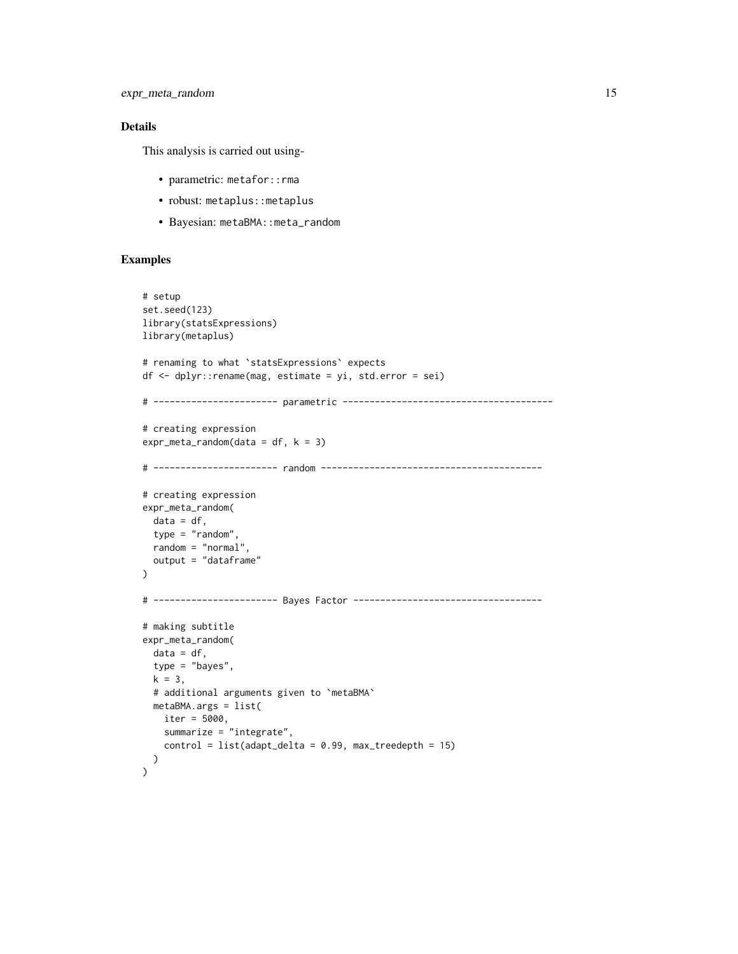# Details

This analysis is carried out using-

- parametric: metafor::rma
- robust: metaplus: : metaplus
- Bayesian: metaBMA::meta\_random

```
# setup
set.seed(123)
library(statsExpressions)
library(metaplus)
# renaming to what `statsExpressions` expects
df <- dplyr::rename(mag, estimate = yi, std.error = sei)
# ----------------------- parametric ---------------------------------------
# creating expression
expr_meta_random(data = df, k = 3)
# ----------------------- random -----------------------------------------
# creating expression
expr_meta_random(
  data = df,
  type = "random",
  random = "normal",
  output = "dataframe"
)
# ----------------------- Bayes Factor -----------------------------------
# making subtitle
expr_meta_random(
  data = df,type = "bayes",
  k = 3,# additional arguments given to `metaBMA`
  metaBMA.args = list(
   iter = 5000,
   summarize = "integrate",
   control = list(adapt\_delta = 0.99, max\_treedeph = 15))
)
```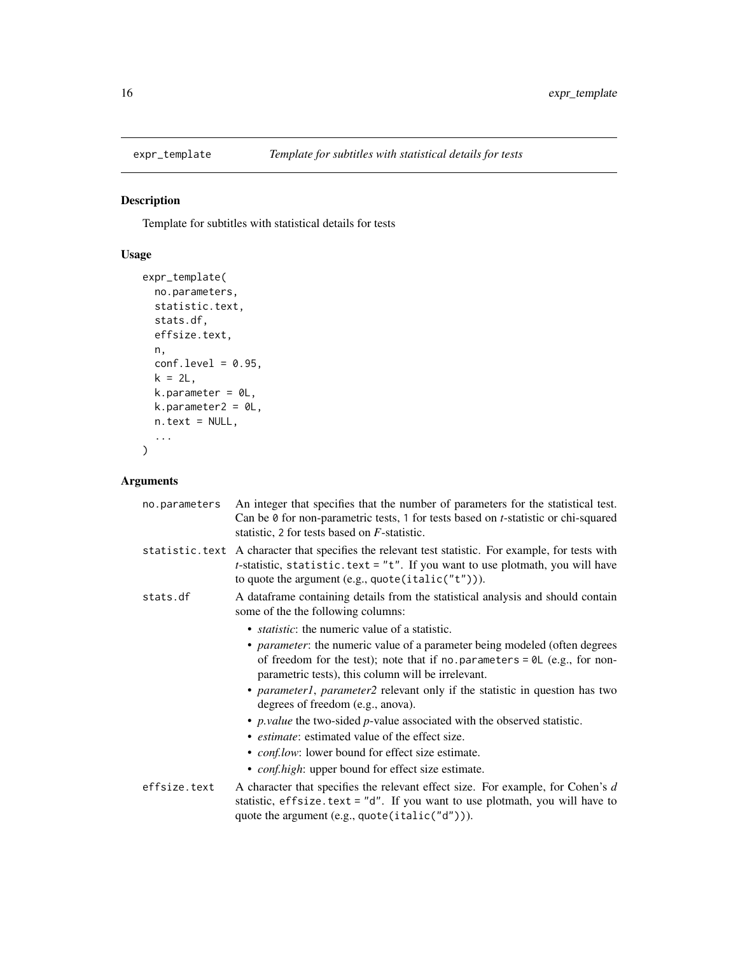<span id="page-15-0"></span>

Template for subtitles with statistical details for tests

# Usage

```
expr_template(
  no.parameters,
  statistic.text,
  stats.df,
  effsize.text,
  n,
  conf.level = 0.95,k = 2L,
  k.parameter = <math>0L</math>,k.parameter2 = 0L,
  n.text = NULL,...
\mathcal{L}
```

| no.parameters | An integer that specifies that the number of parameters for the statistical test.<br>Can be 0 for non-parametric tests, 1 for tests based on <i>t</i> -statistic or chi-squared<br>statistic, 2 for tests based on <i>F</i> -statistic.                      |
|---------------|--------------------------------------------------------------------------------------------------------------------------------------------------------------------------------------------------------------------------------------------------------------|
|               | statistic. text A character that specifies the relevant test statistic. For example, for tests with<br><i>t</i> -statistic, statistic.text = $"t"$ . If you want to use plotmath, you will have<br>to quote the argument $(e.g.,\text{quote}(italic("t"))).$ |
| stats.df      | A dataframe containing details from the statistical analysis and should contain<br>some of the the following columns:                                                                                                                                        |
|               | • <i>statistic</i> : the numeric value of a statistic.                                                                                                                                                                                                       |
|               | • <i>parameter</i> : the numeric value of a parameter being modeled (often degrees<br>of freedom for the test); note that if no parameters = $\theta$ L (e.g., for non-<br>parametric tests), this column will be irrelevant.                                |
|               | • <i>parameter1</i> , <i>parameter2</i> relevant only if the statistic in question has two<br>degrees of freedom (e.g., anova).                                                                                                                              |
|               | • <i>p. value</i> the two-sided $p$ -value associated with the observed statistic.                                                                                                                                                                           |
|               | • <i>estimate</i> : estimated value of the effect size.                                                                                                                                                                                                      |
|               | • <i>conf.low</i> : lower bound for effect size estimate.                                                                                                                                                                                                    |
|               | • <i>conf.high</i> : upper bound for effect size estimate.                                                                                                                                                                                                   |
| effsize.text  | A character that specifies the relevant effect size. For example, for Cohen's $d$<br>statistic, $effsize.text = "d".$ If you want to use plotmath, you will have to<br>quote the argument (e.g., quote(italic("d"))).                                        |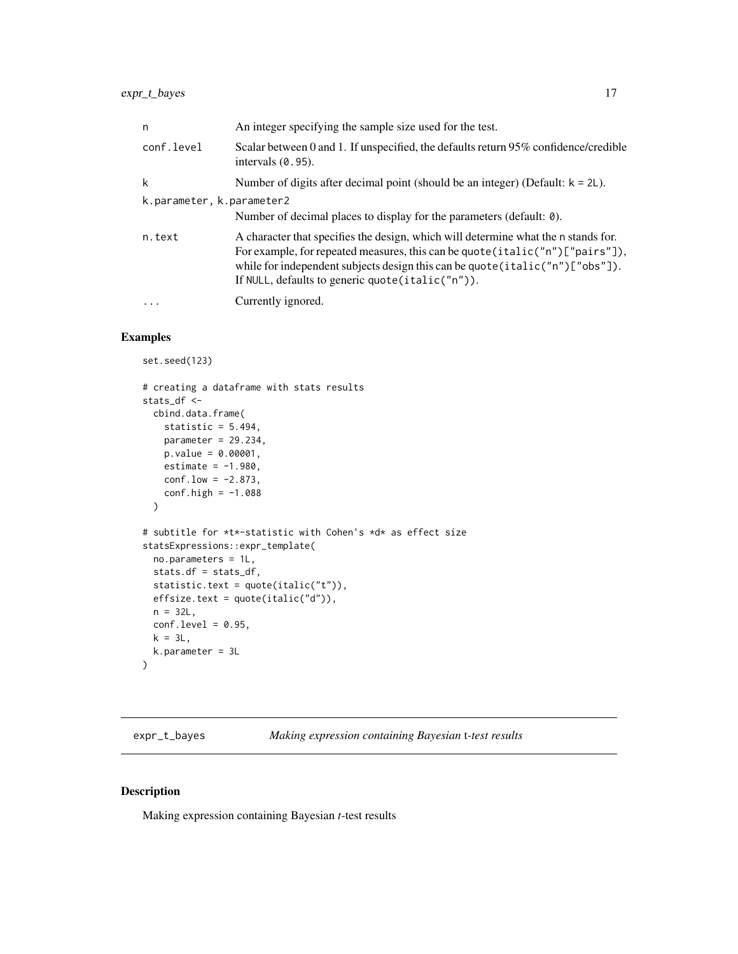<span id="page-16-0"></span>

| n                         | An integer specifying the sample size used for the test.                                                                                                                                                                                                                                                       |
|---------------------------|----------------------------------------------------------------------------------------------------------------------------------------------------------------------------------------------------------------------------------------------------------------------------------------------------------------|
| conf.level                | Scalar between 0 and 1. If unspecified, the defaults return 95% confidence/credible<br>intervals $(0.95)$ .                                                                                                                                                                                                    |
| k                         | Number of digits after decimal point (should be an integer) (Default: $k = 2L$ ).                                                                                                                                                                                                                              |
| k.parameter, k.parameter2 | Number of decimal places to display for the parameters (default: $\theta$ ).                                                                                                                                                                                                                                   |
| n.text                    | A character that specifies the design, which will determine what the n stands for.<br>For example, for repeated measures, this can be quote (italic("n")["pairs"]),<br>while for independent subjects design this can be quote (italic("n") [" $obs$ "]).<br>If NULL, defaults to generic quote (italic("n")). |
| $\ddotsc$                 | Currently ignored.                                                                                                                                                                                                                                                                                             |

# Examples

```
set.seed(123)
# creating a dataframe with stats results
stats_df <-
 cbind.data.frame(
   statistic = 5.494,
   parameter = 29.234,
   p.value = 0.00001,
   estimate = -1.980,
   conf.low = -2.873,conf.high = -1.088\lambda# subtitle for *t*-statistic with Cohen's *d* as effect size
statsExpressions::expr_template(
 no.parameters = 1L,
 stats.df = stats_df,
 statistic.text = quote(italic("t")),
 effsize.text = quote(italic("d")),
 n = 32L,conf. level = 0.95,k = 3L,
 k.parameter = 3L
\lambda
```
expr\_t\_bayes *Making expression containing Bayesian* t*-test results*

#### Description

Making expression containing Bayesian *t*-test results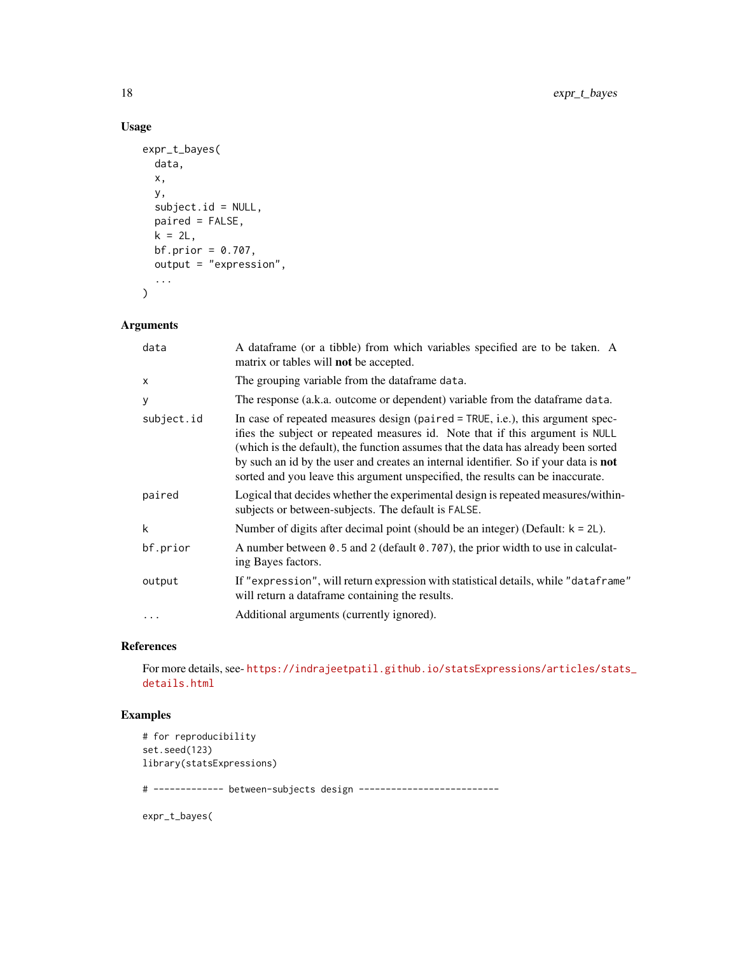# Usage

```
expr_t_bayes(
  data,
  x,
  y,
  subject.id = NULL,
  paired = FALSE,
  k = 2L,
  bf.prior = 0.707,
  output = "expression",
  ...
\mathcal{L}
```
# Arguments

| data         | A dataframe (or a tibble) from which variables specified are to be taken. A<br>matrix or tables will <b>not</b> be accepted.                                                                                                                                                                                                                                                                                                             |
|--------------|------------------------------------------------------------------------------------------------------------------------------------------------------------------------------------------------------------------------------------------------------------------------------------------------------------------------------------------------------------------------------------------------------------------------------------------|
| $\mathsf{x}$ | The grouping variable from the dataframe data.                                                                                                                                                                                                                                                                                                                                                                                           |
| У            | The response (a.k.a. outcome or dependent) variable from the data frame data.                                                                                                                                                                                                                                                                                                                                                            |
| subject.id   | In case of repeated measures design (paired $=$ TRUE, i.e.), this argument spec-<br>ifies the subject or repeated measures id. Note that if this argument is NULL<br>(which is the default), the function assumes that the data has already been sorted<br>by such an id by the user and creates an internal identifier. So if your data is <b>not</b><br>sorted and you leave this argument unspecified, the results can be inaccurate. |
| paired       | Logical that decides whether the experimental design is repeated measures/within-<br>subjects or between-subjects. The default is FALSE.                                                                                                                                                                                                                                                                                                 |
| k            | Number of digits after decimal point (should be an integer) (Default: $k = 2L$ ).                                                                                                                                                                                                                                                                                                                                                        |
| bf.prior     | A number between 0.5 and 2 (default $0.707$ ), the prior width to use in calculat-<br>ing Bayes factors.                                                                                                                                                                                                                                                                                                                                 |
| output       | If "expression", will return expression with statistical details, while "dataframe"<br>will return a dataframe containing the results.                                                                                                                                                                                                                                                                                                   |
| $\ddots$     | Additional arguments (currently ignored).                                                                                                                                                                                                                                                                                                                                                                                                |

# References

For more details, see- [https://indrajeetpatil.github.io/statsExpressions/articles/sta](https://indrajeetpatil.github.io/statsExpressions/articles/stats_details.html)ts\_ [details.html](https://indrajeetpatil.github.io/statsExpressions/articles/stats_details.html)

# Examples

```
# for reproducibility
set.seed(123)
library(statsExpressions)
```
# ------------- between-subjects design --------------------------

expr\_t\_bayes(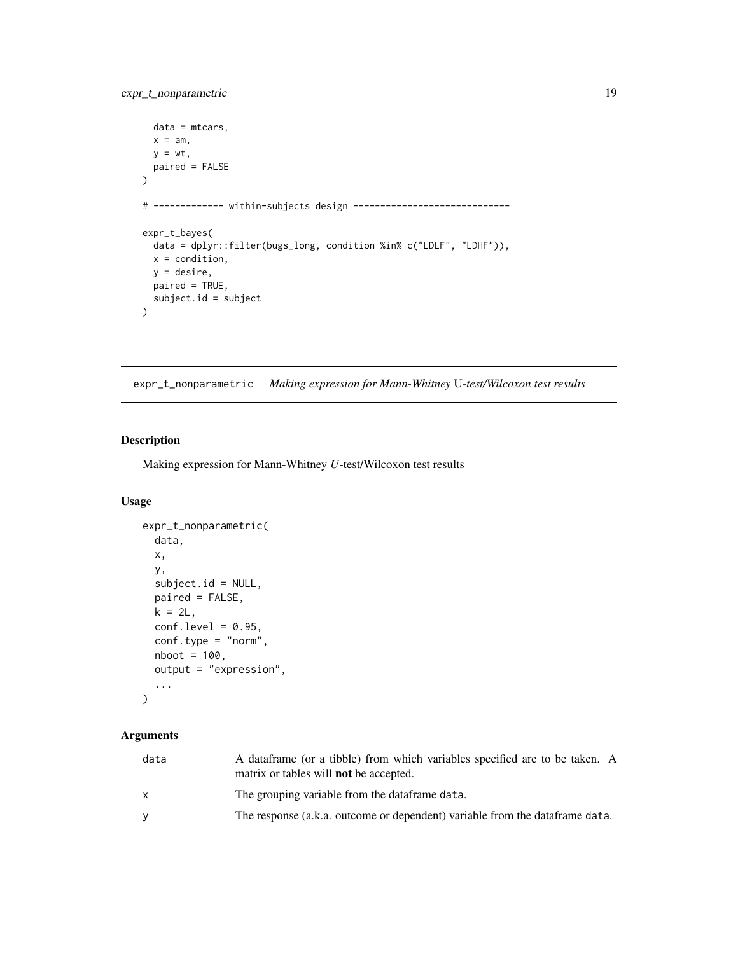```
data = mtcars,
 x = am,y = wt,paired = FALSE
\mathcal{L}# ------------- within-subjects design -----------------------------
expr_t_bayes(
 data = dplyr::filter(bugs_long, condition %in% c("LDLF", "LDHF")),
 x = condition,
 y = desire,
  paired = TRUE,
  subject.id = subject
\mathcal{L}
```
expr\_t\_nonparametric *Making expression for Mann-Whitney* U*-test/Wilcoxon test results*

# Description

Making expression for Mann-Whitney *U*-test/Wilcoxon test results

#### Usage

```
expr_t_nonparametric(
  data,
 x,
 y,
  subject.id = NULL,
 paired = FALSE,
 k = 2L,
 conf. level = 0.95,conf.type = "norm",
 nboot = 100,
 output = "expression",
  ...
\mathcal{L}
```

| data | A dataframe (or a tibble) from which variables specified are to be taken. A<br>matrix or tables will <b>not</b> be accepted. |
|------|------------------------------------------------------------------------------------------------------------------------------|
|      | The grouping variable from the data frame data.                                                                              |
|      | The response (a.k.a. outcome or dependent) variable from the data frame data.                                                |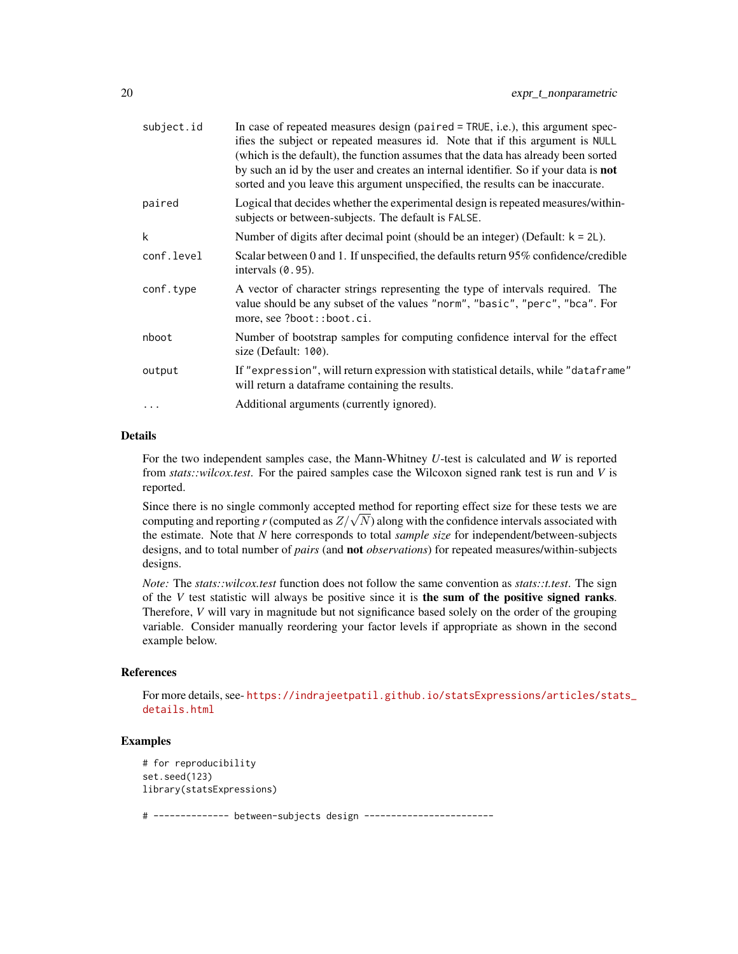| subject.id | In case of repeated measures design (paired $=$ TRUE, i.e.), this argument spec-<br>ifies the subject or repeated measures id. Note that if this argument is NULL<br>(which is the default), the function assumes that the data has already been sorted<br>by such an id by the user and creates an internal identifier. So if your data is <b>not</b><br>sorted and you leave this argument unspecified, the results can be inaccurate. |
|------------|------------------------------------------------------------------------------------------------------------------------------------------------------------------------------------------------------------------------------------------------------------------------------------------------------------------------------------------------------------------------------------------------------------------------------------------|
| paired     | Logical that decides whether the experimental design is repeated measures/within-<br>subjects or between-subjects. The default is FALSE.                                                                                                                                                                                                                                                                                                 |
| k          | Number of digits after decimal point (should be an integer) (Default: $k = 2L$ ).                                                                                                                                                                                                                                                                                                                                                        |
| conf.level | Scalar between 0 and 1. If unspecified, the defaults return 95% confidence/credible<br>intervals $(0.95)$ .                                                                                                                                                                                                                                                                                                                              |
| conf.type  | A vector of character strings representing the type of intervals required. The<br>value should be any subset of the values "norm", "basic", "perc", "bca". For<br>more, see ?boot::boot.ci.                                                                                                                                                                                                                                              |
| nboot      | Number of bootstrap samples for computing confidence interval for the effect<br>size (Default: 100).                                                                                                                                                                                                                                                                                                                                     |
| output     | If "expression", will return expression with statistical details, while "dataframe"<br>will return a dataframe containing the results.                                                                                                                                                                                                                                                                                                   |
|            | Additional arguments (currently ignored).                                                                                                                                                                                                                                                                                                                                                                                                |
|            |                                                                                                                                                                                                                                                                                                                                                                                                                                          |

# Details

For the two independent samples case, the Mann-Whitney *U*-test is calculated and *W* is reported from *stats::wilcox.test*. For the paired samples case the Wilcoxon signed rank test is run and *V* is reported.

Since there is no single commonly accepted method for reporting effect size for these tests we are Since there is no single commonly accepted method for reporting effect size for these tests we are computing and reporting *r* (computed as  $Z/\sqrt{N}$ ) along with the confidence intervals associated with the estimate. Note that *N* here corresponds to total *sample size* for independent/between-subjects designs, and to total number of *pairs* (and not *observations*) for repeated measures/within-subjects designs.

*Note:* The *stats::wilcox.test* function does not follow the same convention as *stats::t.test*. The sign of the  $V$  test statistic will always be positive since it is **the sum of the positive signed ranks.** Therefore, *V* will vary in magnitude but not significance based solely on the order of the grouping variable. Consider manually reordering your factor levels if appropriate as shown in the second example below.

#### References

For more details, see- [https://indrajeetpatil.github.io/statsExpressions/articles/sta](https://indrajeetpatil.github.io/statsExpressions/articles/stats_details.html)ts\_ [details.html](https://indrajeetpatil.github.io/statsExpressions/articles/stats_details.html)

```
# for reproducibility
set.seed(123)
library(statsExpressions)
# -------------- between-subjects design ------------------------
```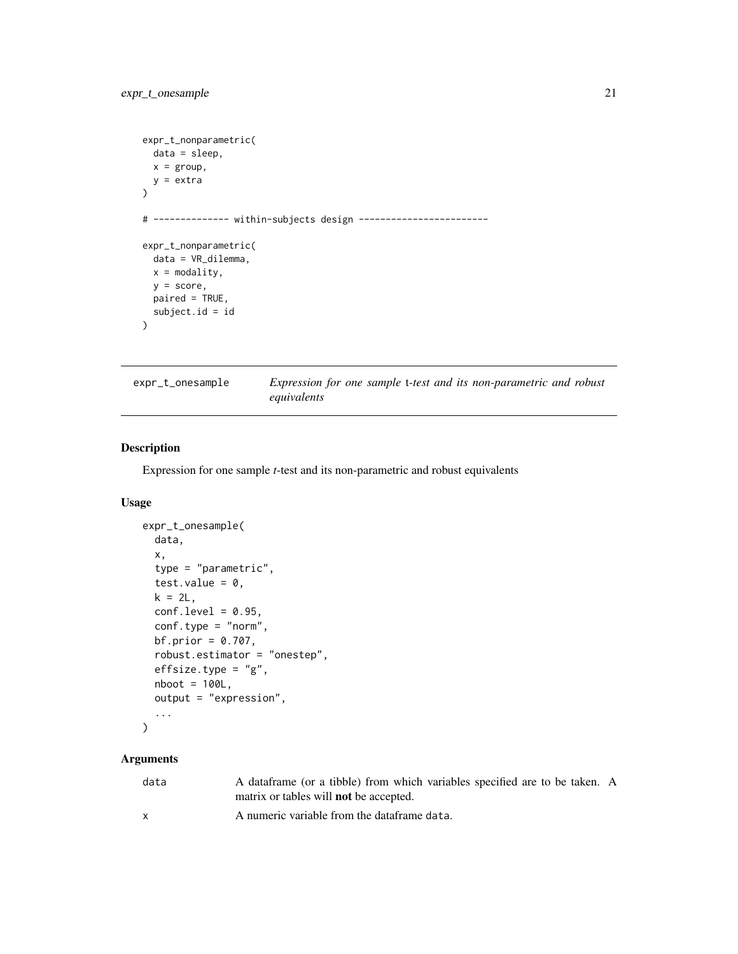```
expr_t_nonparametric(
  data = sleep,
 x = \text{group},
  y =extra
\mathcal{L}# -------------- within-subjects design ------------------------
expr_t_nonparametric(
  data = VR_dilemma,
  x = \text{modality},
  y = score,
  paired = TRUE,
  subject.id = id
)
```

| expr_t_onesample | Expression for one sample t-test and its non-parametric and robust |  |
|------------------|--------------------------------------------------------------------|--|
|                  | equivalents                                                        |  |

Expression for one sample *t*-test and its non-parametric and robust equivalents

# Usage

```
expr_t_onesample(
  data,
  x,
  type = "parametric",
  test.value = 0,
 k = 2L,
 conf. level = 0.95,conf.type = "norm",
 bf.prior = 0.707,
  robust.estimator = "onestep",
  effsize.type = "g",nboot = 100L,output = "expression",
  ...
\mathcal{L}
```

| data         | A dataframe (or a tibble) from which variables specified are to be taken. A<br>matrix or tables will <b>not</b> be accepted. |  |
|--------------|------------------------------------------------------------------------------------------------------------------------------|--|
| $\mathsf{x}$ | A numeric variable from the dataframe data.                                                                                  |  |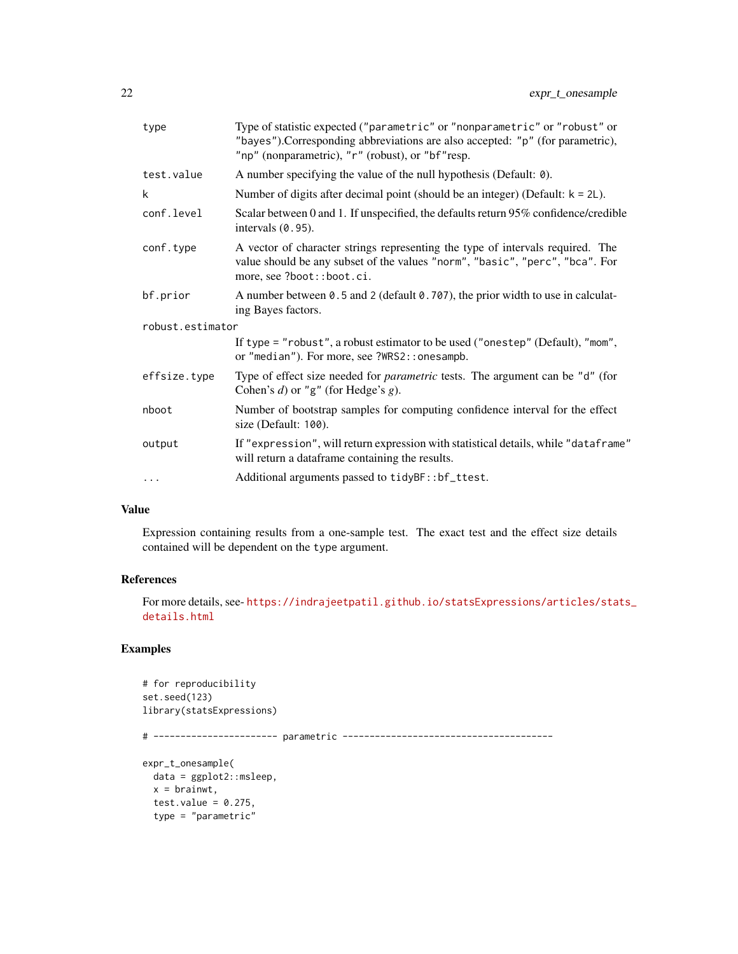| type             | Type of statistic expected ("parametric" or "nonparametric" or "robust" or<br>"bayes"). Corresponding abbreviations are also accepted: "p" (for parametric),<br>"np" (nonparametric), "r" (robust), or "bf"resp. |
|------------------|------------------------------------------------------------------------------------------------------------------------------------------------------------------------------------------------------------------|
| test.value       | A number specifying the value of the null hypothesis (Default: 0).                                                                                                                                               |
| k                | Number of digits after decimal point (should be an integer) (Default: $k = 2L$ ).                                                                                                                                |
| conf.level       | Scalar between 0 and 1. If unspecified, the defaults return 95% confidence/credible<br>intervals $(0.95)$ .                                                                                                      |
| conf.type        | A vector of character strings representing the type of intervals required. The<br>value should be any subset of the values "norm", "basic", "perc", "bca". For<br>more, see ?boot::boot.ci.                      |
| bf.prior         | A number between 0.5 and 2 (default 0.707), the prior width to use in calculat-<br>ing Bayes factors.                                                                                                            |
| robust.estimator |                                                                                                                                                                                                                  |
|                  | If type = "robust", a robust estimator to be used ("onestep" (Default), "mom",<br>or "median"). For more, see ?WRS2:: one sampb.                                                                                 |
| effsize.type     | Type of effect size needed for <i>parametric</i> tests. The argument can be "d" (for<br>Cohen's $d$ ) or "g" (for Hedge's $g$ ).                                                                                 |
| nboot            | Number of bootstrap samples for computing confidence interval for the effect<br>size (Default: 100).                                                                                                             |
| output           | If "expression", will return expression with statistical details, while "dataframe"<br>will return a dataframe containing the results.                                                                           |
| .                | Additional arguments passed to tidyBF::bf_ttest.                                                                                                                                                                 |
|                  |                                                                                                                                                                                                                  |

# Value

Expression containing results from a one-sample test. The exact test and the effect size details contained will be dependent on the type argument.

# References

For more details, see- [https://indrajeetpatil.github.io/statsExpressions/articles/sta](https://indrajeetpatil.github.io/statsExpressions/articles/stats_details.html)ts\_ [details.html](https://indrajeetpatil.github.io/statsExpressions/articles/stats_details.html)

```
# for reproducibility
set.seed(123)
library(statsExpressions)
# ----------------------- parametric ---------------------------------------
expr_t_onesample(
 data = ggplot2::msleep,
 x = \text{brainwt},
  test.value = 0.275,
  type = "parametric"
```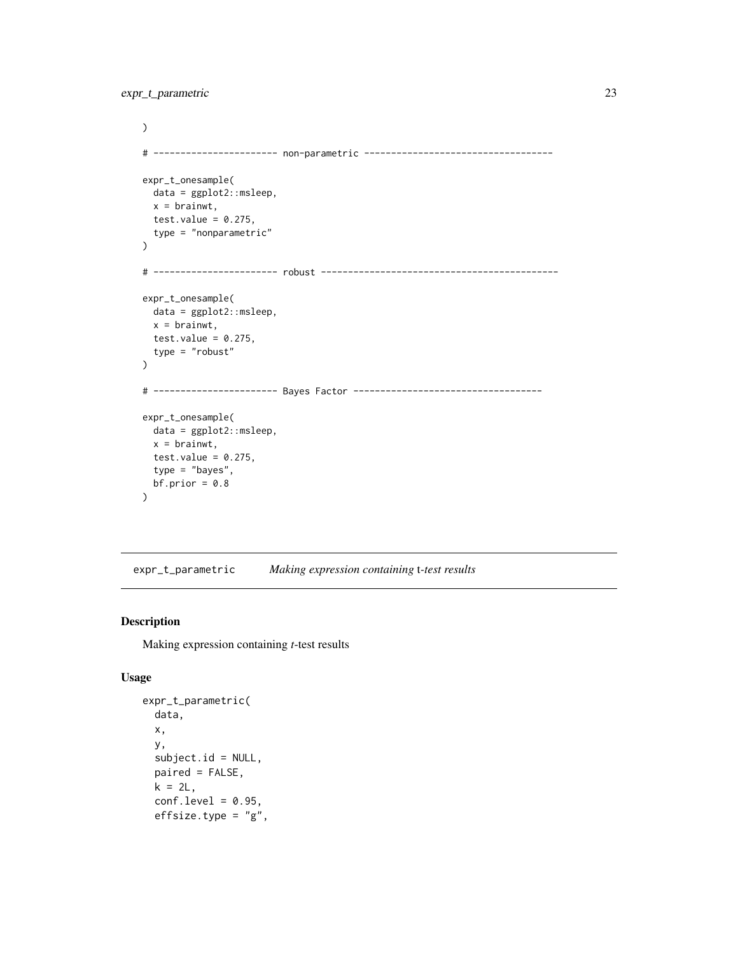```
)
# ----------------------- non-parametric -----------------------------------
expr_t_onesample(
 data = ggplot2::msleep,
 x = \text{brainwt},
 test.value = 0.275,
  type = "nonparametric"
\mathcal{L}# ----------------------- robust --------------------------------------------
expr_t_onesample(
 data = ggplot2::msleep,
 x = brainwt,
 test.value = 0.275,
  type = "robust"
)
# ----------------------- Bayes Factor -----------------------------------
expr_t_onesample(
  data = ggplot2::msleep,
 x = \text{brainwt},
  test.value = 0.275,
  type = "bayes",
  bf.prior = 0.8)
```
expr\_t\_parametric *Making expression containing* t*-test results*

#### Description

Making expression containing *t*-test results

#### Usage

```
expr_t_parametric(
  data,
 x,
 y,
  subject.id = NULL,
 paired = FALSE,
 k = 2L,
  conf. level = 0.95,effsize.type = "g",
```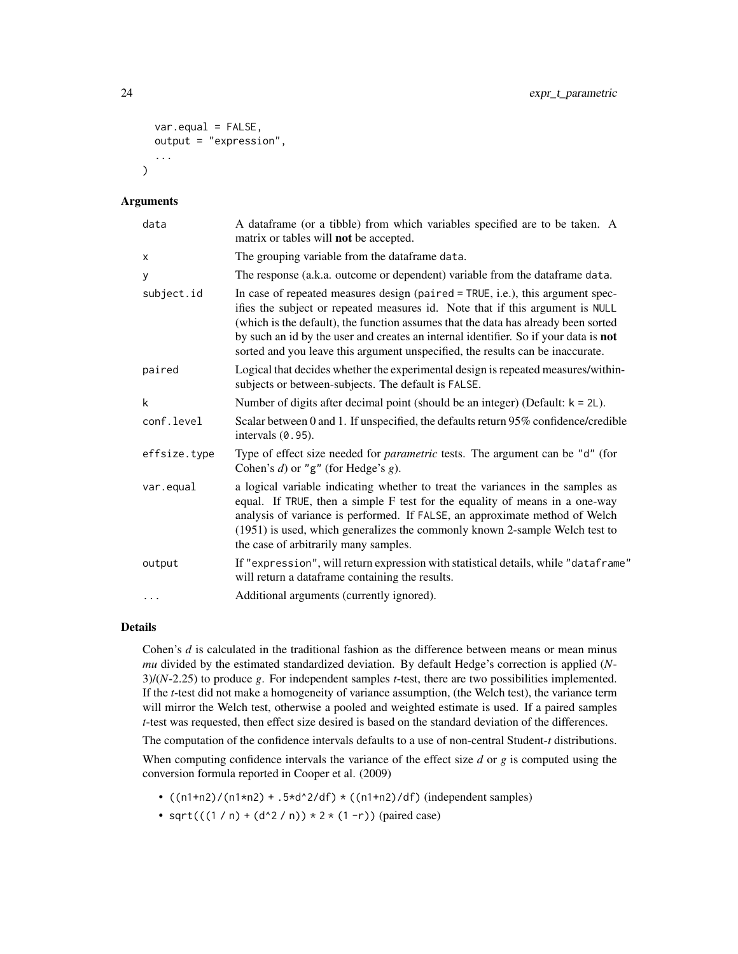```
var.equals = FALSE,output = "expression",
  ...
\lambda
```
#### Arguments

| A dataframe (or a tibble) from which variables specified are to be taken. A<br>matrix or tables will not be accepted.                                                                                                                                                                                                                                                                                                           |
|---------------------------------------------------------------------------------------------------------------------------------------------------------------------------------------------------------------------------------------------------------------------------------------------------------------------------------------------------------------------------------------------------------------------------------|
| The grouping variable from the dataframe data.                                                                                                                                                                                                                                                                                                                                                                                  |
| The response (a.k.a. outcome or dependent) variable from the data frame data.                                                                                                                                                                                                                                                                                                                                                   |
| In case of repeated measures design (paired = TRUE, i.e.), this argument spec-<br>ifies the subject or repeated measures id. Note that if this argument is NULL<br>(which is the default), the function assumes that the data has already been sorted<br>by such an id by the user and creates an internal identifier. So if your data is not<br>sorted and you leave this argument unspecified, the results can be inaccurate. |
| Logical that decides whether the experimental design is repeated measures/within-<br>subjects or between-subjects. The default is FALSE.                                                                                                                                                                                                                                                                                        |
| Number of digits after decimal point (should be an integer) (Default: $k = 2L$ ).                                                                                                                                                                                                                                                                                                                                               |
| Scalar between 0 and 1. If unspecified, the defaults return 95% confidence/credible<br>intervals $(0.95)$ .                                                                                                                                                                                                                                                                                                                     |
| Type of effect size needed for <i>parametric</i> tests. The argument can be "d" (for<br>Cohen's $d$ ) or "g" (for Hedge's $g$ ).                                                                                                                                                                                                                                                                                                |
| a logical variable indicating whether to treat the variances in the samples as<br>equal. If TRUE, then a simple F test for the equality of means in a one-way<br>analysis of variance is performed. If FALSE, an approximate method of Welch<br>(1951) is used, which generalizes the commonly known 2-sample Welch test to<br>the case of arbitrarily many samples.                                                            |
| If "expression", will return expression with statistical details, while "dataframe"<br>will return a dataframe containing the results.                                                                                                                                                                                                                                                                                          |
| Additional arguments (currently ignored).                                                                                                                                                                                                                                                                                                                                                                                       |
|                                                                                                                                                                                                                                                                                                                                                                                                                                 |

#### Details

Cohen's *d* is calculated in the traditional fashion as the difference between means or mean minus *mu* divided by the estimated standardized deviation. By default Hedge's correction is applied (*N*-3)/(*N*-2.25) to produce *g*. For independent samples *t*-test, there are two possibilities implemented. If the *t*-test did not make a homogeneity of variance assumption, (the Welch test), the variance term will mirror the Welch test, otherwise a pooled and weighted estimate is used. If a paired samples *t*-test was requested, then effect size desired is based on the standard deviation of the differences.

The computation of the confidence intervals defaults to a use of non-central Student-*t* distributions.

When computing confidence intervals the variance of the effect size *d* or *g* is computed using the conversion formula reported in Cooper et al. (2009)

- $((n1+n2)/(n1*n2) + .5*d^2/df) * ((n1+n2)/df)$  (independent samples)
- sqrt $(((1/n) + (d^2 / n)) * 2 * (1 r))$  (paired case)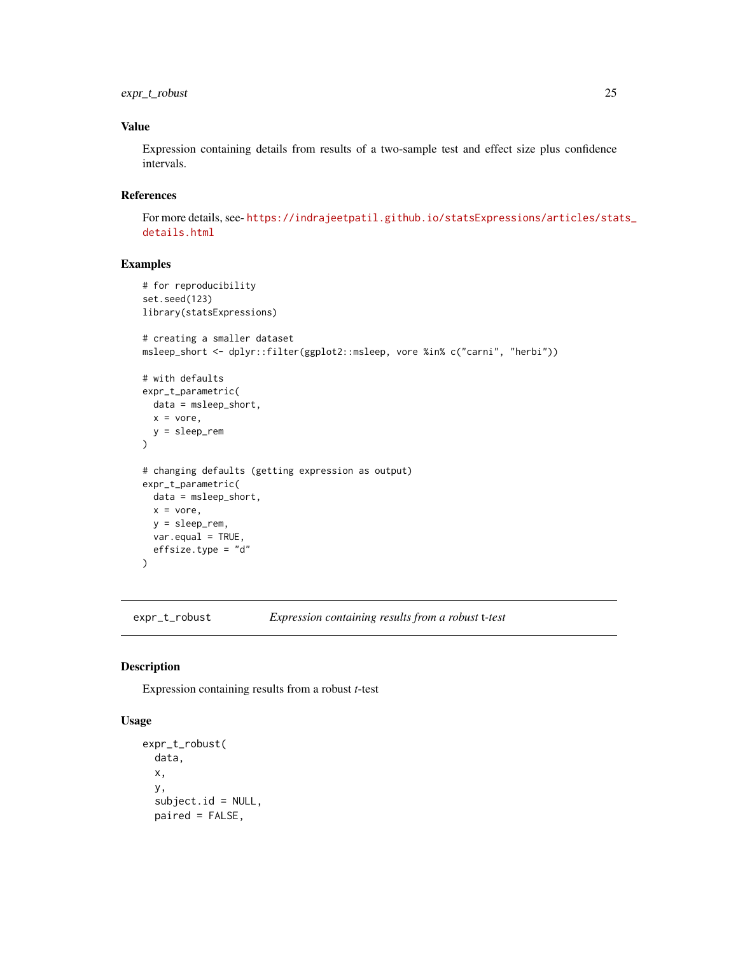<span id="page-24-0"></span>expr\_t\_robust 25

### Value

Expression containing details from results of a two-sample test and effect size plus confidence intervals.

# References

For more details, see- [https://indrajeetpatil.github.io/statsExpressions/articles/sta](https://indrajeetpatil.github.io/statsExpressions/articles/stats_details.html)ts\_ [details.html](https://indrajeetpatil.github.io/statsExpressions/articles/stats_details.html)

# Examples

```
# for reproducibility
set.seed(123)
library(statsExpressions)
# creating a smaller dataset
msleep_short <- dplyr::filter(ggplot2::msleep, vore %in% c("carni", "herbi"))
# with defaults
expr_t_parametric(
  data = msleep_short,
 x = vore,
  y = sleep_rem
\lambda# changing defaults (getting expression as output)
expr_t_parametric(
 data = msleep_short,
 x = vore,
 y = sleep_rem,
  var.equal = TRUE,
  effsize.type = "d"
\mathcal{L}
```
expr\_t\_robust *Expression containing results from a robust* t*-test*

#### Description

Expression containing results from a robust *t*-test

#### Usage

```
expr_t_robust(
  data,
  x,
  y,
  subject.id = NULL,
  paired = FALSE,
```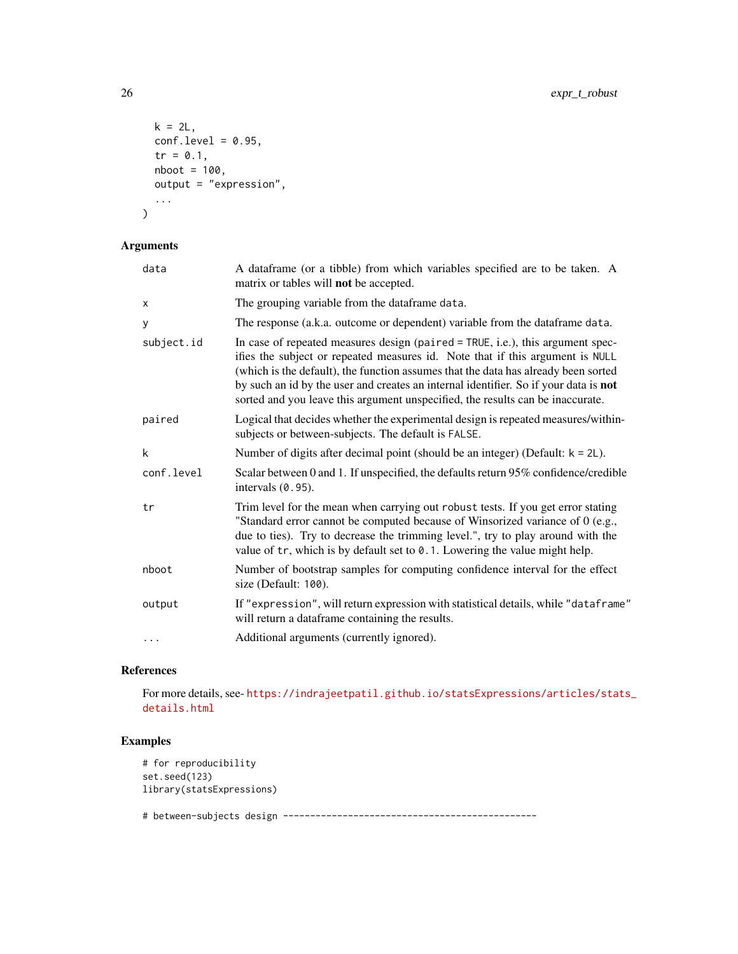```
k = 2L,
  conf. level = 0.95,tr = 0.1,
  nboot = 100,output = "expression",
  ...
\mathcal{L}
```
# Arguments

| data       | A dataframe (or a tibble) from which variables specified are to be taken. A<br>matrix or tables will <b>not</b> be accepted.                                                                                                                                                                                                                                                                                                      |
|------------|-----------------------------------------------------------------------------------------------------------------------------------------------------------------------------------------------------------------------------------------------------------------------------------------------------------------------------------------------------------------------------------------------------------------------------------|
| x          | The grouping variable from the dataframe data.                                                                                                                                                                                                                                                                                                                                                                                    |
| у          | The response (a.k.a. outcome or dependent) variable from the data frame data.                                                                                                                                                                                                                                                                                                                                                     |
| subject.id | In case of repeated measures design (paired $=$ TRUE, i.e.), this argument spec-<br>ifies the subject or repeated measures id. Note that if this argument is NULL<br>(which is the default), the function assumes that the data has already been sorted<br>by such an id by the user and creates an internal identifier. So if your data is not<br>sorted and you leave this argument unspecified, the results can be inaccurate. |
| paired     | Logical that decides whether the experimental design is repeated measures/within-<br>subjects or between-subjects. The default is FALSE.                                                                                                                                                                                                                                                                                          |
| k          | Number of digits after decimal point (should be an integer) (Default: $k = 2L$ ).                                                                                                                                                                                                                                                                                                                                                 |
| conf.level | Scalar between 0 and 1. If unspecified, the defaults return 95% confidence/credible<br>intervals (0.95).                                                                                                                                                                                                                                                                                                                          |
| tr         | Trim level for the mean when carrying out robust tests. If you get error stating<br>"Standard error cannot be computed because of Winsorized variance of 0 (e.g.,<br>due to ties). Try to decrease the trimming level.", try to play around with the<br>value of tr, which is by default set to 0.1. Lowering the value might help.                                                                                               |
| nboot      | Number of bootstrap samples for computing confidence interval for the effect<br>size (Default: 100).                                                                                                                                                                                                                                                                                                                              |
| output     | If "expression", will return expression with statistical details, while "dataframe"<br>will return a dataframe containing the results.                                                                                                                                                                                                                                                                                            |
| $\cdots$   | Additional arguments (currently ignored).                                                                                                                                                                                                                                                                                                                                                                                         |

# References

For more details, see- [https://indrajeetpatil.github.io/statsExpressions/articles/sta](https://indrajeetpatil.github.io/statsExpressions/articles/stats_details.html)ts\_ [details.html](https://indrajeetpatil.github.io/statsExpressions/articles/stats_details.html)

```
# for reproducibility
set.seed(123)
library(statsExpressions)
# between-subjects design -----------------------------------------------
```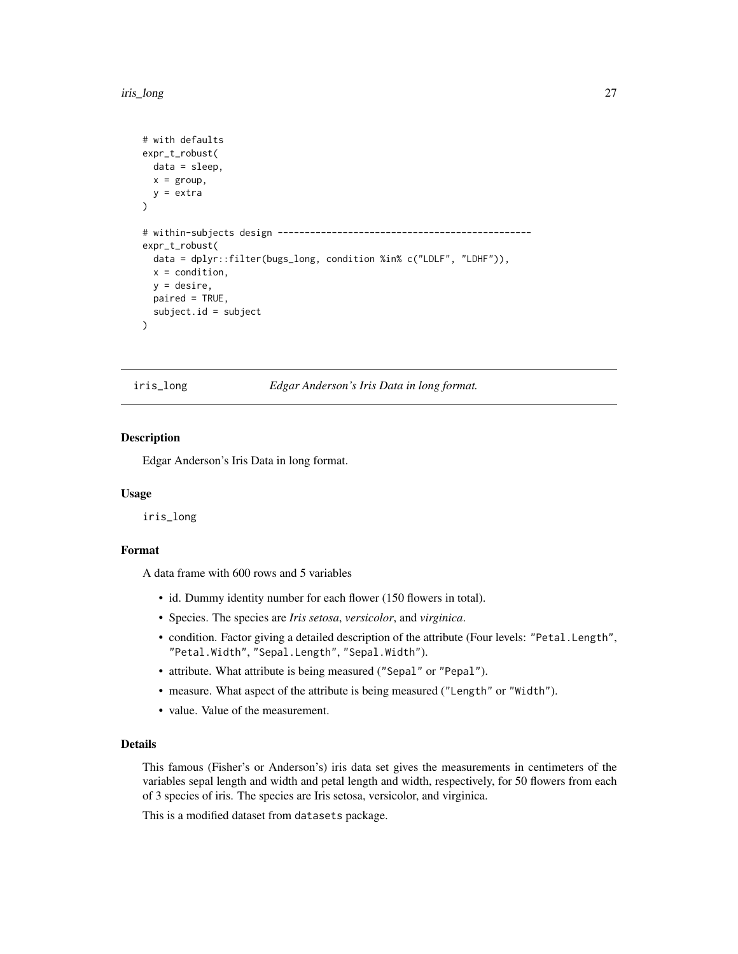```
# with defaults
expr_t_robust(
 data = sleep,
 x = \text{group},
 y =extra
)
# within-subjects design -----------------------------------------------
expr_t_robust(
 data = dplyr::filter(bugs_long, condition %in% c("LDLF", "LDHF")),
 x = condition,
 y = desire,
 paired = TRUE,
 subject.id = subject
)
```
iris\_long *Edgar Anderson's Iris Data in long format.*

#### Description

Edgar Anderson's Iris Data in long format.

#### Usage

iris\_long

#### Format

A data frame with 600 rows and 5 variables

- id. Dummy identity number for each flower (150 flowers in total).
- Species. The species are *Iris setosa*, *versicolor*, and *virginica*.
- condition. Factor giving a detailed description of the attribute (Four levels: "Petal.Length", "Petal.Width", "Sepal.Length", "Sepal.Width").
- attribute. What attribute is being measured ("Sepal" or "Pepal").
- measure. What aspect of the attribute is being measured ("Length" or "Width").
- value. Value of the measurement.

#### Details

This famous (Fisher's or Anderson's) iris data set gives the measurements in centimeters of the variables sepal length and width and petal length and width, respectively, for 50 flowers from each of 3 species of iris. The species are Iris setosa, versicolor, and virginica.

This is a modified dataset from datasets package.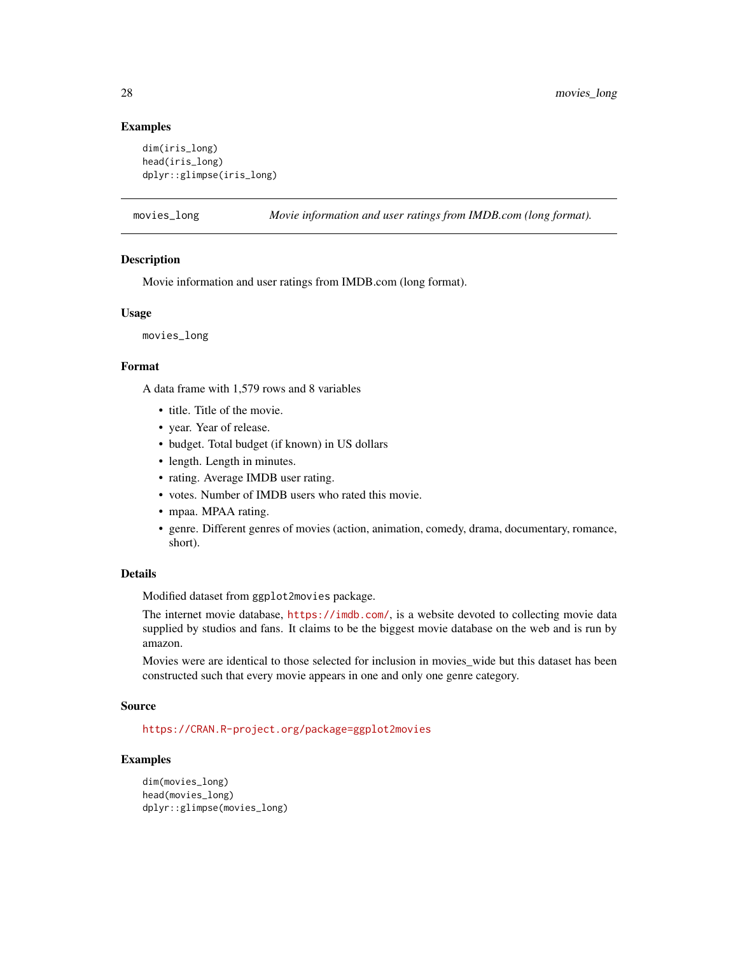#### Examples

```
dim(iris_long)
head(iris_long)
dplyr::glimpse(iris_long)
```
movies\_long *Movie information and user ratings from IMDB.com (long format).*

#### Description

Movie information and user ratings from IMDB.com (long format).

#### Usage

movies\_long

# Format

A data frame with 1,579 rows and 8 variables

- title. Title of the movie.
- year. Year of release.
- budget. Total budget (if known) in US dollars
- length. Length in minutes.
- rating. Average IMDB user rating.
- votes. Number of IMDB users who rated this movie.
- mpaa. MPAA rating.
- genre. Different genres of movies (action, animation, comedy, drama, documentary, romance, short).

#### Details

Modified dataset from ggplot2movies package.

The internet movie database, <https://imdb.com/>, is a website devoted to collecting movie data supplied by studios and fans. It claims to be the biggest movie database on the web and is run by amazon.

Movies were are identical to those selected for inclusion in movies\_wide but this dataset has been constructed such that every movie appears in one and only one genre category.

#### Source

<https://CRAN.R-project.org/package=ggplot2movies>

```
dim(movies_long)
head(movies_long)
dplyr::glimpse(movies_long)
```
<span id="page-27-0"></span>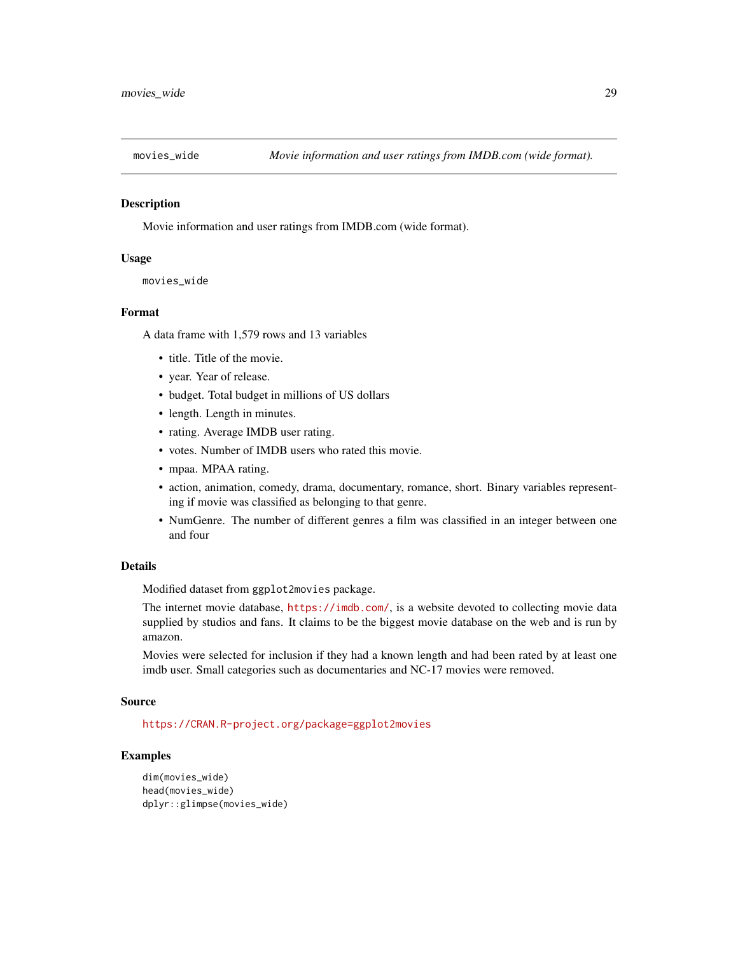<span id="page-28-0"></span>

Movie information and user ratings from IMDB.com (wide format).

#### Usage

```
movies_wide
```
# Format

A data frame with 1,579 rows and 13 variables

- title. Title of the movie.
- year. Year of release.
- budget. Total budget in millions of US dollars
- length. Length in minutes.
- rating. Average IMDB user rating.
- votes. Number of IMDB users who rated this movie.
- mpaa. MPAA rating.
- action, animation, comedy, drama, documentary, romance, short. Binary variables representing if movie was classified as belonging to that genre.
- NumGenre. The number of different genres a film was classified in an integer between one and four

#### Details

Modified dataset from ggplot2movies package.

The internet movie database, <https://imdb.com/>, is a website devoted to collecting movie data supplied by studios and fans. It claims to be the biggest movie database on the web and is run by amazon.

Movies were selected for inclusion if they had a known length and had been rated by at least one imdb user. Small categories such as documentaries and NC-17 movies were removed.

#### Source

<https://CRAN.R-project.org/package=ggplot2movies>

```
dim(movies_wide)
head(movies_wide)
dplyr::glimpse(movies_wide)
```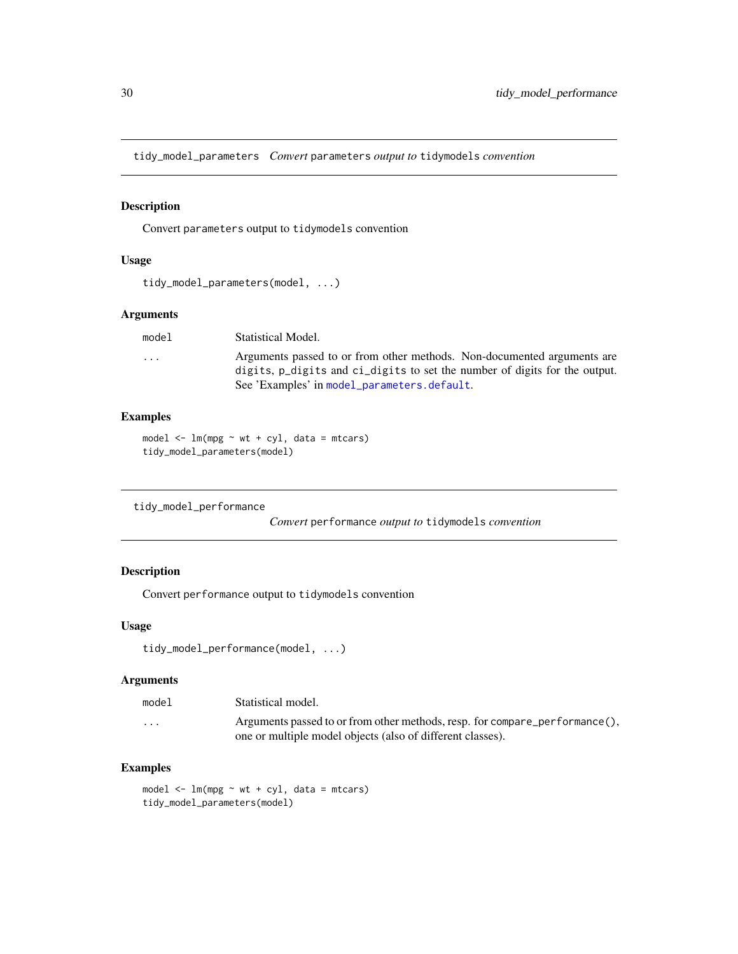<span id="page-29-0"></span>tidy\_model\_parameters *Convert* parameters *output to* tidymodels *convention*

# Description

Convert parameters output to tidymodels convention

# Usage

```
tidy_model_parameters(model, ...)
```
# Arguments

| model | Statistical Model.                                                                                                                                                                                   |
|-------|------------------------------------------------------------------------------------------------------------------------------------------------------------------------------------------------------|
| .     | Arguments passed to or from other methods. Non-documented arguments are<br>digits, p_digits and ci_digits to set the number of digits for the output.<br>See 'Examples' in model_parameters.default. |
|       |                                                                                                                                                                                                      |

# Examples

```
model \leq - lm(mpg \sim wt + cyl, data = mtcars)tidy_model_parameters(model)
```

```
tidy_model_performance
```
*Convert* performance *output to* tidymodels *convention*

# Description

Convert performance output to tidymodels convention

#### Usage

```
tidy_model_performance(model, ...)
```
#### Arguments

| model   | Statistical model.                                                                                                                        |
|---------|-------------------------------------------------------------------------------------------------------------------------------------------|
| $\cdot$ | Arguments passed to or from other methods, resp. for compare_performance(),<br>one or multiple model objects (also of different classes). |

```
model <- lm(mpg ~ wt + cyl, data = mtcars)
tidy_model_parameters(model)
```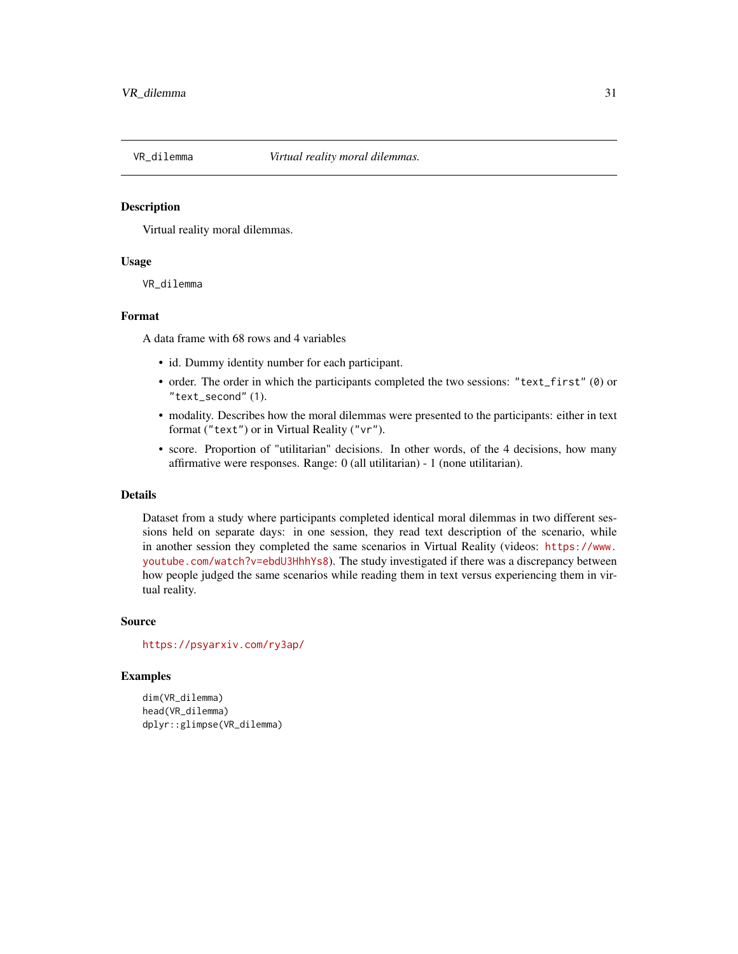<span id="page-30-0"></span>

Virtual reality moral dilemmas.

#### Usage

VR\_dilemma

# Format

A data frame with 68 rows and 4 variables

- id. Dummy identity number for each participant.
- order. The order in which the participants completed the two sessions: "text\_first" (0) or "text\_second" (1).
- modality. Describes how the moral dilemmas were presented to the participants: either in text format ("text") or in Virtual Reality ("vr").
- score. Proportion of "utilitarian" decisions. In other words, of the 4 decisions, how many affirmative were responses. Range: 0 (all utilitarian) - 1 (none utilitarian).

#### Details

Dataset from a study where participants completed identical moral dilemmas in two different sessions held on separate days: in one session, they read text description of the scenario, while in another session they completed the same scenarios in Virtual Reality (videos: [https://www.](https://www.youtube.com/watch?v=ebdU3HhhYs8) [youtube.com/watch?v=ebdU3HhhYs8](https://www.youtube.com/watch?v=ebdU3HhhYs8)). The study investigated if there was a discrepancy between how people judged the same scenarios while reading them in text versus experiencing them in virtual reality.

#### Source

<https://psyarxiv.com/ry3ap/>

```
dim(VR_dilemma)
head(VR_dilemma)
dplyr::glimpse(VR_dilemma)
```